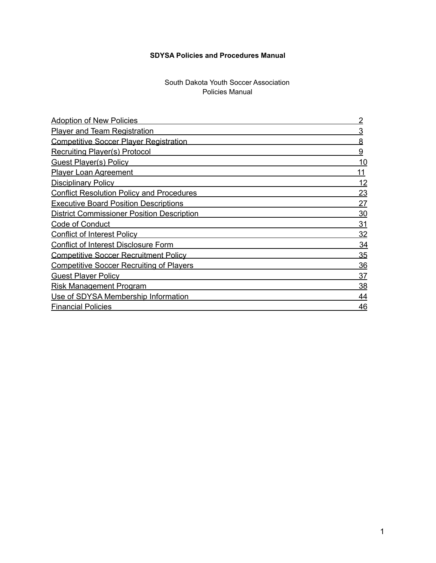# **SDYSA Policies and Procedures Manual**

### South Dakota Youth Soccer Association Policies Manual

| <b>Adoption of New Policies</b>                   |           |
|---------------------------------------------------|-----------|
| <b>Player and Team Registration</b>               | 3         |
| <b>Competitive Soccer Plaver Registration</b>     | 8         |
| <b>Recruiting Player(s) Protocol</b>              | 9         |
| <b>Guest Player(s) Policy</b>                     | 10        |
| <b>Player Loan Agreement</b>                      | 11        |
| <b>Disciplinary Policy</b>                        | 12        |
| <b>Conflict Resolution Policy and Procedures</b>  | <u>23</u> |
| <b>Executive Board Position Descriptions</b>      | 27        |
| <b>District Commissioner Position Description</b> | 30        |
| Code of Conduct                                   | 31        |
| <b>Conflict of Interest Policy</b>                | 32        |
| <b>Conflict of Interest Disclosure Form</b>       | 34        |
| <b>Competitive Soccer Recruitment Policy</b>      | 35        |
| <b>Competitive Soccer Recruiting of Players</b>   | 36        |
| <b>Guest Player Policy</b>                        | 37        |
| <b>Risk Management Program</b>                    | 38        |
| Use of SDYSA Membership Information               | 44        |
| <b>Financial Policies</b>                         |           |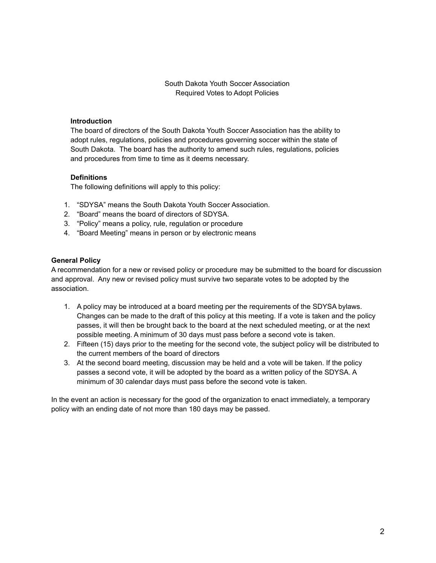South Dakota Youth Soccer Association Required Votes to Adopt Policies

### **Introduction**

The board of directors of the South Dakota Youth Soccer Association has the ability to adopt rules, regulations, policies and procedures governing soccer within the state of South Dakota. The board has the authority to amend such rules, regulations, policies and procedures from time to time as it deems necessary.

#### **Definitions**

The following definitions will apply to this policy:

- 1. "SDYSA" means the South Dakota Youth Soccer Association.
- 2. "Board" means the board of directors of SDYSA.
- 3. "Policy" means a policy, rule, regulation or procedure
- 4. "Board Meeting" means in person or by electronic means

#### **General Policy**

A recommendation for a new or revised policy or procedure may be submitted to the board for discussion and approval. Any new or revised policy must survive two separate votes to be adopted by the association.

- 1. A policy may be introduced at a board meeting per the requirements of the SDYSA bylaws. Changes can be made to the draft of this policy at this meeting. If a vote is taken and the policy passes, it will then be brought back to the board at the next scheduled meeting, or at the next possible meeting. A minimum of 30 days must pass before a second vote is taken.
- 2. Fifteen (15) days prior to the meeting for the second vote, the subject policy will be distributed to the current members of the board of directors
- 3. At the second board meeting, discussion may be held and a vote will be taken. If the policy passes a second vote, it will be adopted by the board as a written policy of the SDYSA. A minimum of 30 calendar days must pass before the second vote is taken.

In the event an action is necessary for the good of the organization to enact immediately, a temporary policy with an ending date of not more than 180 days may be passed.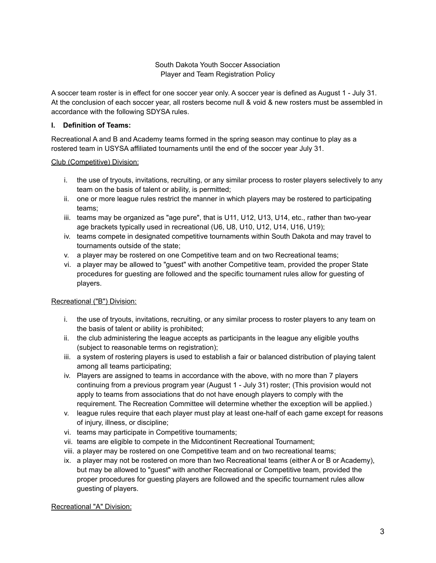### South Dakota Youth Soccer Association Player and Team Registration Policy

A soccer team roster is in effect for one soccer year only. A soccer year is defined as August 1 - July 31. At the conclusion of each soccer year, all rosters become null & void & new rosters must be assembled in accordance with the following SDYSA rules.

### **I. Definition of Teams:**

Recreational A and B and Academy teams formed in the spring season may continue to play as a rostered team in USYSA affiliated tournaments until the end of the soccer year July 31.

### Club (Competitive) Division:

- i. the use of tryouts, invitations, recruiting, or any similar process to roster players selectively to any team on the basis of talent or ability, is permitted;
- ii. one or more league rules restrict the manner in which players may be rostered to participating teams;
- iii. teams may be organized as "age pure", that is U11, U12, U13, U14, etc., rather than two-year age brackets typically used in recreational (U6, U8, U10, U12, U14, U16, U19);
- iv. teams compete in designated competitive tournaments within South Dakota and may travel to tournaments outside of the state;
- v. a player may be rostered on one Competitive team and on two Recreational teams;
- vi. a player may be allowed to "guest" with another Competitive team, provided the proper State procedures for guesting are followed and the specific tournament rules allow for guesting of players.

# Recreational ("B") Division:

- i. the use of tryouts, invitations, recruiting, or any similar process to roster players to any team on the basis of talent or ability is prohibited;
- ii. the club administering the league accepts as participants in the league any eligible youths (subject to reasonable terms on registration);
- iii. a system of rostering players is used to establish a fair or balanced distribution of playing talent among all teams participating;
- iv. Players are assigned to teams in accordance with the above, with no more than 7 players continuing from a previous program year (August 1 - July 31) roster; (This provision would not apply to teams from associations that do not have enough players to comply with the requirement. The Recreation Committee will determine whether the exception will be applied.)
- v. league rules require that each player must play at least one-half of each game except for reasons of injury, illness, or discipline;
- vi. teams may participate in Competitive tournaments;
- vii. teams are eligible to compete in the Midcontinent Recreational Tournament;
- viii. a player may be rostered on one Competitive team and on two recreational teams;
- ix. a player may not be rostered on more than two Recreational teams (either A or B or Academy), but may be allowed to "guest" with another Recreational or Competitive team, provided the proper procedures for guesting players are followed and the specific tournament rules allow guesting of players.

### Recreational "A" Division: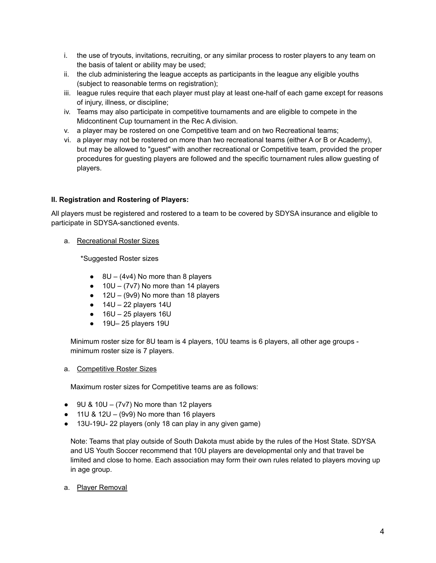- i. the use of tryouts, invitations, recruiting, or any similar process to roster players to any team on the basis of talent or ability may be used;
- ii. the club administering the league accepts as participants in the league any eligible youths (subject to reasonable terms on registration);
- iii. league rules require that each player must play at least one-half of each game except for reasons of injury, illness, or discipline;
- iv. Teams may also participate in competitive tournaments and are eligible to compete in the Midcontinent Cup tournament in the Rec A division.
- v. a player may be rostered on one Competitive team and on two Recreational teams;
- vi. a player may not be rostered on more than two recreational teams (either A or B or Academy), but may be allowed to "guest" with another recreational or Competitive team, provided the proper procedures for guesting players are followed and the specific tournament rules allow guesting of players.

### **II. Registration and Rostering of Players:**

All players must be registered and rostered to a team to be covered by SDYSA insurance and eligible to participate in SDYSA-sanctioned events.

a. Recreational Roster Sizes

\*Suggested Roster sizes

- $\bullet$  8U (4v4) No more than 8 players
- $\bullet$  10U (7v7) No more than 14 players
- $\bullet$  12U (9v9) No more than 18 players
- $\bullet$  14U 22 players 14U
- $\bullet$  16U 25 players 16U
- 19U– 25 players 19U

Minimum roster size for 8U team is 4 players, 10U teams is 6 players, all other age groups minimum roster size is 7 players.

#### a. Competitive Roster Sizes

Maximum roster sizes for Competitive teams are as follows:

- $\bullet$  9U & 10U (7v7) No more than 12 players
- $\bullet$  11U & 12U (9v9) No more than 16 players
- 13U-19U- 22 players (only 18 can play in any given game)

Note: Teams that play outside of South Dakota must abide by the rules of the Host State. SDYSA and US Youth Soccer recommend that 10U players are developmental only and that travel be limited and close to home. Each association may form their own rules related to players moving up in age group.

a. Player Removal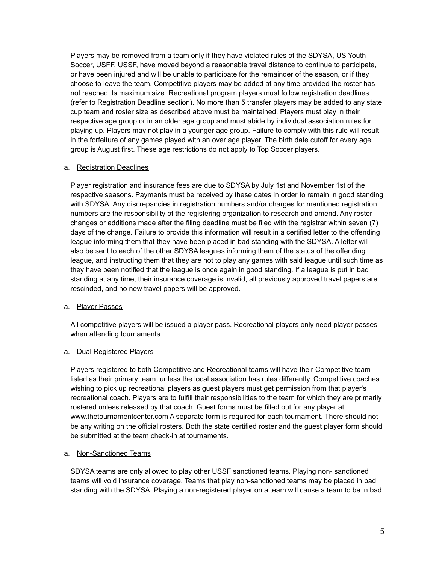Players may be removed from a team only if they have violated rules of the SDYSA, US Youth Soccer, USFF, USSF, have moved beyond a reasonable travel distance to continue to participate, or have been injured and will be unable to participate for the remainder of the season, or if they choose to leave the team. Competitive players may be added at any time provided the roster has not reached its maximum size. Recreational program players must follow registration deadlines (refer to Registration Deadline section). No more than 5 transfer players may be added to any state cup team and roster size as described above must be maintained. Players must play in their respective age group or in an older age group and must abide by individual association rules for playing up. Players may not play in a younger age group. Failure to comply with this rule will result in the forfeiture of any games played with an over age player. The birth date cutoff for every age group is August first. These age restrictions do not apply to Top Soccer players.

### a. Registration Deadlines

Player registration and insurance fees are due to SDYSA by July 1st and November 1st of the respective seasons. Payments must be received by these dates in order to remain in good standing with SDYSA. Any discrepancies in registration numbers and/or charges for mentioned registration numbers are the responsibility of the registering organization to research and amend. Any roster changes or additions made after the filing deadline must be filed with the registrar within seven (7) days of the change. Failure to provide this information will result in a certified letter to the offending league informing them that they have been placed in bad standing with the SDYSA. A letter will also be sent to each of the other SDYSA leagues informing them of the status of the offending league, and instructing them that they are not to play any games with said league until such time as they have been notified that the league is once again in good standing. If a league is put in bad standing at any time, their insurance coverage is invalid, all previously approved travel papers are rescinded, and no new travel papers will be approved.

#### a. Player Passes

All competitive players will be issued a player pass. Recreational players only need player passes when attending tournaments.

#### a. Dual Registered Players

Players registered to both Competitive and Recreational teams will have their Competitive team listed as their primary team, unless the local association has rules differently. Competitive coaches wishing to pick up recreational players as guest players must get permission from that player's recreational coach. Players are to fulfill their responsibilities to the team for which they are primarily rostered unless released by that coach. Guest forms must be filled out for any player at www.thetournamentcenter.com A separate form is required for each tournament. There should not be any writing on the official rosters. Both the state certified roster and the guest player form should be submitted at the team check-in at tournaments.

### a. Non-Sanctioned Teams

SDYSA teams are only allowed to play other USSF sanctioned teams. Playing non- sanctioned teams will void insurance coverage. Teams that play non-sanctioned teams may be placed in bad standing with the SDYSA. Playing a non-registered player on a team will cause a team to be in bad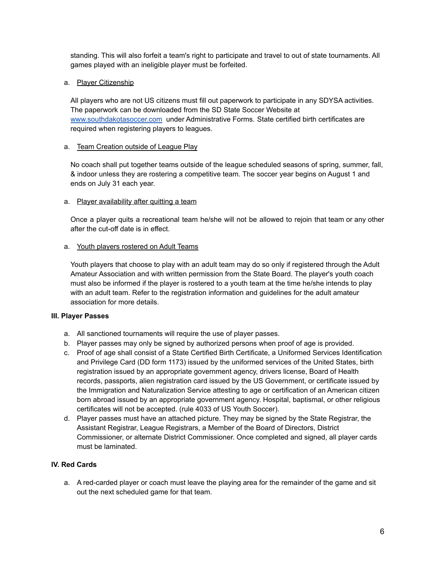standing. This will also forfeit a team's right to participate and travel to out of state tournaments. All games played with an ineligible player must be forfeited.

### a. Player Citizenship

All players who are not US citizens must fill out paperwork to participate in any SDYSA activities. The paperwork can be downloaded from the SD State Soccer Website a[t](http://www.southdakotasoccer.com) [www.southdakotasoccer.com](http://www.southdakotasoccer.com) under Administrative Forms. State certified birth certificates are required when registering players to leagues.

### a. Team Creation outside of League Play

No coach shall put together teams outside of the league scheduled seasons of spring, summer, fall, & indoor unless they are rostering a competitive team. The soccer year begins on August 1 and ends on July 31 each year.

#### a. Player availability after quitting a team

Once a player quits a recreational team he/she will not be allowed to rejoin that team or any other after the cut-off date is in effect.

#### a. Youth players rostered on Adult Teams

Youth players that choose to play with an adult team may do so only if registered through the Adult Amateur Association and with written permission from the State Board. The player's youth coach must also be informed if the player is rostered to a youth team at the time he/she intends to play with an adult team. Refer to the registration information and guidelines for the adult amateur association for more details.

### **III. Player Passes**

- a. All sanctioned tournaments will require the use of player passes.
- b. Player passes may only be signed by authorized persons when proof of age is provided.
- c. Proof of age shall consist of a State Certified Birth Certificate, a Uniformed Services Identification and Privilege Card (DD form 1173) issued by the uniformed services of the United States, birth registration issued by an appropriate government agency, drivers license, Board of Health records, passports, alien registration card issued by the US Government, or certificate issued by the Immigration and Naturalization Service attesting to age or certification of an American citizen born abroad issued by an appropriate government agency. Hospital, baptismal, or other religious certificates will not be accepted. (rule 4033 of US Youth Soccer).
- d. Player passes must have an attached picture. They may be signed by the State Registrar, the Assistant Registrar, League Registrars, a Member of the Board of Directors, District Commissioner, or alternate District Commissioner. Once completed and signed, all player cards must be laminated.

### **IV. Red Cards**

a. A red-carded player or coach must leave the playing area for the remainder of the game and sit out the next scheduled game for that team.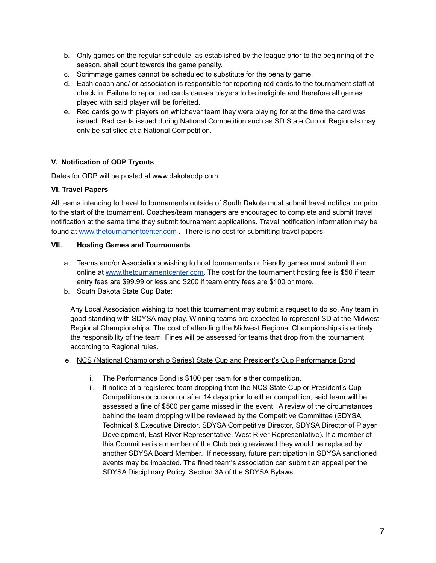- b. Only games on the regular schedule, as established by the league prior to the beginning of the season, shall count towards the game penalty.
- c. Scrimmage games cannot be scheduled to substitute for the penalty game.
- d. Each coach and/ or association is responsible for reporting red cards to the tournament staff at check in. Failure to report red cards causes players to be ineligible and therefore all games played with said player will be forfeited.
- e. Red cards go with players on whichever team they were playing for at the time the card was issued. Red cards issued during National Competition such as SD State Cup or Regionals may only be satisfied at a National Competition.

# **V. Notification of ODP Tryouts**

Dates for ODP will be posted at www.dakotaodp.com

### **VI. Travel Papers**

All teams intending to travel to tournaments outside of South Dakota must submit travel notification prior to the start of the tournament. Coaches/team managers are encouraged to complete and submit travel notification at the same time they submit tournament applications. Travel notification information may be found at [www.thetournamentcenter.com](http://www.thetournamentcenter.com) . There is no cost for submitting travel papers.

#### **VII. Hosting Games and Tournaments**

- a. Teams and/or Associations wishing to host tournaments or friendly games must submit them online at [www.thetournamentcenter.com.](http://www.thetournamentcenter.com) The cost for the tournament hosting fee is \$50 if team entry fees are \$99.99 or less and \$200 if team entry fees are \$100 or more.
- b. South Dakota State Cup Date:

Any Local Association wishing to host this tournament may submit a request to do so. Any team in good standing with SDYSA may play. Winning teams are expected to represent SD at the Midwest Regional Championships. The cost of attending the Midwest Regional Championships is entirely the responsibility of the team. Fines will be assessed for teams that drop from the tournament according to Regional rules.

#### e. NCS (National Championship Series) State Cup and President's Cup Performance Bond

- i. The Performance Bond is \$100 per team for either competition.
- ii. If notice of a registered team dropping from the NCS State Cup or President's Cup Competitions occurs on or after 14 days prior to either competition, said team will be assessed a fine of \$500 per game missed in the event. A review of the circumstances behind the team dropping will be reviewed by the Competitive Committee (SDYSA Technical & Executive Director, SDYSA Competitive Director, SDYSA Director of Player Development, East River Representative, West River Representative). If a member of this Committee is a member of the Club being reviewed they would be replaced by another SDYSA Board Member. If necessary, future participation in SDYSA sanctioned events may be impacted. The fined team's association can submit an appeal per the SDYSA Disciplinary Policy, Section 3A of the SDYSA Bylaws.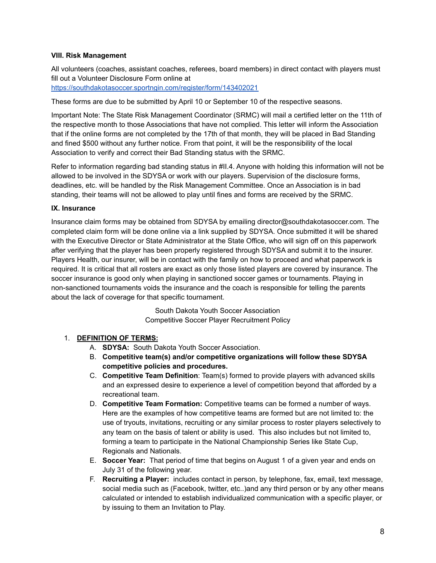### **VIII. Risk Management**

All volunteers (coaches, assistant coaches, referees, board members) in direct contact with players must fill out a Volunteer Disclosure Form online at

<https://southdakotasoccer.sportngin.com/register/form/143402021>

These forms are due to be submitted by April 10 or September 10 of the respective seasons.

Important Note: The State Risk Management Coordinator (SRMC) will mail a certified letter on the 11th of the respective month to those Associations that have not complied. This letter will inform the Association that if the online forms are not completed by the 17th of that month, they will be placed in Bad Standing and fined \$500 without any further notice. From that point, it will be the responsibility of the local Association to verify and correct their Bad Standing status with the SRMC.

Refer to information regarding bad standing status in #II.4. Anyone with holding this information will not be allowed to be involved in the SDYSA or work with our players. Supervision of the disclosure forms, deadlines, etc. will be handled by the Risk Management Committee. Once an Association is in bad standing, their teams will not be allowed to play until fines and forms are received by the SRMC.

#### **IX. Insurance**

Insurance claim forms may be obtained from SDYSA by emailing director@southdakotasoccer.com. The completed claim form will be done online via a link supplied by SDYSA. Once submitted it will be shared with the Executive Director or State Administrator at the State Office, who will sign off on this paperwork after verifying that the player has been properly registered through SDYSA and submit it to the insurer. Players Health, our insurer, will be in contact with the family on how to proceed and what paperwork is required. It is critical that all rosters are exact as only those listed players are covered by insurance. The soccer insurance is good only when playing in sanctioned soccer games or tournaments. Playing in non-sanctioned tournaments voids the insurance and the coach is responsible for telling the parents about the lack of coverage for that specific tournament.

> South Dakota Youth Soccer Association Competitive Soccer Player Recruitment Policy

### 1. **DEFINITION OF TERMS:**

- A. **SDYSA:** South Dakota Youth Soccer Association.
- B. **Competitive team(s) and/or competitive organizations will follow these SDYSA competitive policies and procedures.**
- C. **Competitive Team Definition**: Team(s) formed to provide players with advanced skills and an expressed desire to experience a level of competition beyond that afforded by a recreational team.
- D. **Competitive Team Formation:** Competitive teams can be formed a number of ways. Here are the examples of how competitive teams are formed but are not limited to: the use of tryouts, invitations, recruiting or any similar process to roster players selectively to any team on the basis of talent or ability is used. This also includes but not limited to, forming a team to participate in the National Championship Series like State Cup, Regionals and Nationals.
- E. **Soccer Year:** That period of time that begins on August 1 of a given year and ends on July 31 of the following year.
- F. **Recruiting a Player:** includes contact in person, by telephone, fax, email, text message, social media such as (Facebook, twitter, etc..)and any third person or by any other means calculated or intended to establish individualized communication with a specific player, or by issuing to them an Invitation to Play.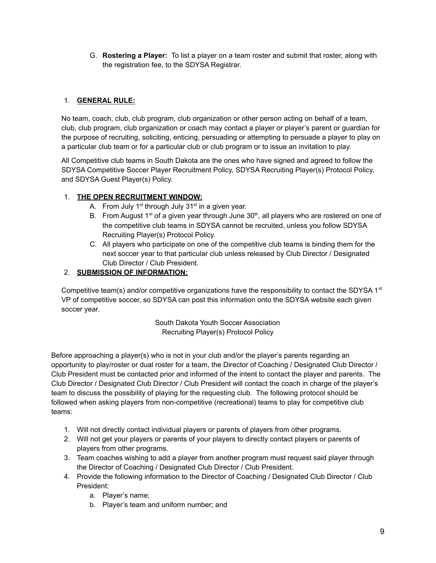G. **Rostering a Player:** To list a player on a team roster and submit that roster, along with the registration fee, to the SDYSA Registrar.

# 1. **GENERAL RULE:**

No team, coach, club, club program, club organization or other person acting on behalf of a team, club, club program, club organization or coach may contact a player or player's parent or guardian for the purpose of recruiting, soliciting, enticing, persuading or attempting to persuade a player to play on a particular club team or for a particular club or club program or to issue an invitation to play.

All Competitive club teams in South Dakota are the ones who have signed and agreed to follow the SDYSA Competitive Soccer Player Recruitment Policy, SDYSA Recruiting Player(s) Protocol Policy, and SDYSA Guest Player(s) Policy.

# 1. **THE OPEN RECRUITMENT WINDOW:**

- A. From July 1<sup>st</sup> through July 31<sup>st</sup> in a given year.
- B. From August 1<sup>st</sup> of a given year through June 30<sup>th</sup>, all players who are rostered on one of the competitive club teams in SDYSA cannot be recruited, unless you follow SDYSA Recruiting Player(s) Protocol Policy.
- C. All players who participate on one of the competitive club teams is binding them for the next soccer year to that particular club unless released by Club Director / Designated Club Director / Club President.

# 2. **SUBMISSION OF INFORMATION:**

Competitive team(s) and/or competitive organizations have the responsibility to contact the SDYSA 1<sup>st</sup> VP of competitive soccer, so SDYSA can post this information onto the SDYSA website each given soccer year.

> South Dakota Youth Soccer Association Recruiting Player(s) Protocol Policy

Before approaching a player(s) who is not in your club and/or the player's parents regarding an opportunity to play/roster or dual roster for a team, the Director of Coaching / Designated Club Director / Club President must be contacted prior and informed of the intent to contact the player and parents. The Club Director / Designated Club Director / Club President will contact the coach in charge of the player's team to discuss the possibility of playing for the requesting club. The following protocol should be followed when asking players from non-competitive (recreational) teams to play for competitive club teams:

- 1. Will not directly contact individual players or parents of players from other programs.
- 2. Will not get your players or parents of your players to directly contact players or parents of players from other programs.
- 3. Team coaches wishing to add a player from another program must request said player through the Director of Coaching / Designated Club Director / Club President.
- 4. Provide the following information to the Director of Coaching / Designated Club Director / Club President:
	- a. Player's name;
	- b. Player's team and uniform number; and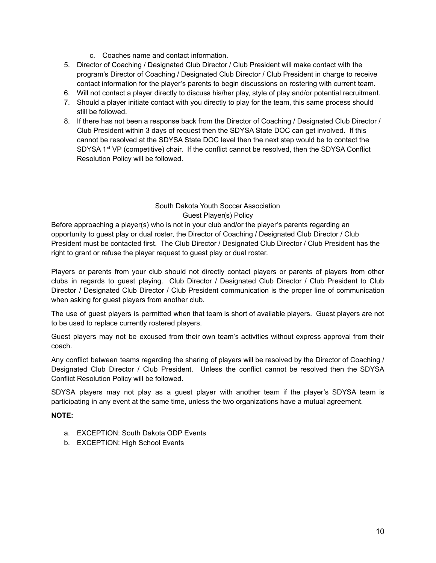- c. Coaches name and contact information.
- 5. Director of Coaching / Designated Club Director / Club President will make contact with the program's Director of Coaching / Designated Club Director / Club President in charge to receive contact information for the player's parents to begin discussions on rostering with current team.
- 6. Will not contact a player directly to discuss his/her play, style of play and/or potential recruitment.
- 7. Should a player initiate contact with you directly to play for the team, this same process should still be followed.
- 8. If there has not been a response back from the Director of Coaching / Designated Club Director / Club President within 3 days of request then the SDYSA State DOC can get involved. If this cannot be resolved at the SDYSA State DOC level then the next step would be to contact the SDYSA 1<sup>st</sup> VP (competitive) chair. If the conflict cannot be resolved, then the SDYSA Conflict Resolution Policy will be followed.

### South Dakota Youth Soccer Association Guest Player(s) Policy

Before approaching a player(s) who is not in your club and/or the player's parents regarding an opportunity to guest play or dual roster, the Director of Coaching / Designated Club Director / Club President must be contacted first. The Club Director / Designated Club Director / Club President has the right to grant or refuse the player request to guest play or dual roster.

Players or parents from your club should not directly contact players or parents of players from other clubs in regards to guest playing. Club Director / Designated Club Director / Club President to Club Director / Designated Club Director / Club President communication is the proper line of communication when asking for guest players from another club.

The use of guest players is permitted when that team is short of available players. Guest players are not to be used to replace currently rostered players.

Guest players may not be excused from their own team's activities without express approval from their coach.

Any conflict between teams regarding the sharing of players will be resolved by the Director of Coaching / Designated Club Director / Club President. Unless the conflict cannot be resolved then the SDYSA Conflict Resolution Policy will be followed.

SDYSA players may not play as a guest player with another team if the player's SDYSA team is participating in any event at the same time, unless the two organizations have a mutual agreement.

### **NOTE:**

- a. EXCEPTION: South Dakota ODP Events
- b. EXCEPTION: High School Events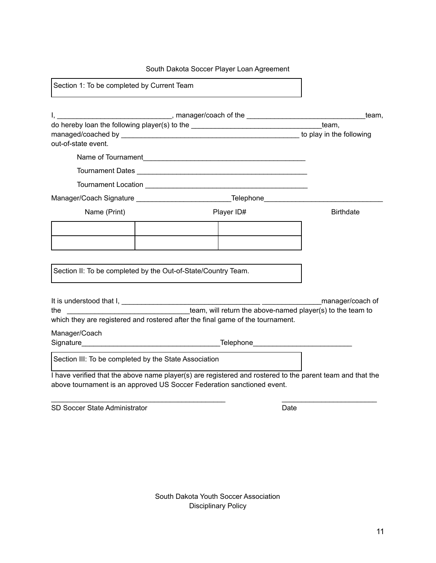# South Dakota Soccer Player Loan Agreement

| Section 1: To be completed by Current Team                                                                                                  |                                                                                                     |                                                                                  |                                                                                                                     |  |
|---------------------------------------------------------------------------------------------------------------------------------------------|-----------------------------------------------------------------------------------------------------|----------------------------------------------------------------------------------|---------------------------------------------------------------------------------------------------------------------|--|
|                                                                                                                                             | I, __________________________________, manager/coach of the __________________________________team, |                                                                                  |                                                                                                                     |  |
|                                                                                                                                             |                                                                                                     |                                                                                  |                                                                                                                     |  |
|                                                                                                                                             |                                                                                                     |                                                                                  |                                                                                                                     |  |
| out-of-state event.                                                                                                                         |                                                                                                     |                                                                                  |                                                                                                                     |  |
|                                                                                                                                             |                                                                                                     |                                                                                  |                                                                                                                     |  |
|                                                                                                                                             |                                                                                                     |                                                                                  |                                                                                                                     |  |
|                                                                                                                                             |                                                                                                     |                                                                                  |                                                                                                                     |  |
|                                                                                                                                             |                                                                                                     | Manager/Coach Signature __________________________________Telephone_____________ |                                                                                                                     |  |
| Name (Print)                                                                                                                                |                                                                                                     | Player ID#                                                                       | <b>Birthdate</b>                                                                                                    |  |
|                                                                                                                                             |                                                                                                     |                                                                                  |                                                                                                                     |  |
|                                                                                                                                             |                                                                                                     |                                                                                  |                                                                                                                     |  |
|                                                                                                                                             |                                                                                                     |                                                                                  |                                                                                                                     |  |
| Section II: To be completed by the Out-of-State/Country Team.                                                                               |                                                                                                     |                                                                                  |                                                                                                                     |  |
|                                                                                                                                             |                                                                                                     |                                                                                  | manager/coach of<br>the _________________________________team, will return the above-named player(s) to the team to |  |
| which they are registered and rostered after the final game of the tournament.                                                              |                                                                                                     |                                                                                  |                                                                                                                     |  |
| Manager/Coach<br>Signature <b>Example 2018</b> Telephone <b>Contract 2018</b> Telephone <b>Contract 2018</b> Telephone <b>Contract 2018</b> |                                                                                                     |                                                                                  |                                                                                                                     |  |
| Section III: To be completed by the State Association                                                                                       |                                                                                                     |                                                                                  |                                                                                                                     |  |
| above tournament is an approved US Soccer Federation sanctioned event.                                                                      |                                                                                                     |                                                                                  | I have verified that the above name player(s) are registered and rostered to the parent team and that the           |  |
| SD Soccer State Administrator                                                                                                               |                                                                                                     |                                                                                  | Date                                                                                                                |  |

٦

South Dakota Youth Soccer Association Disciplinary Policy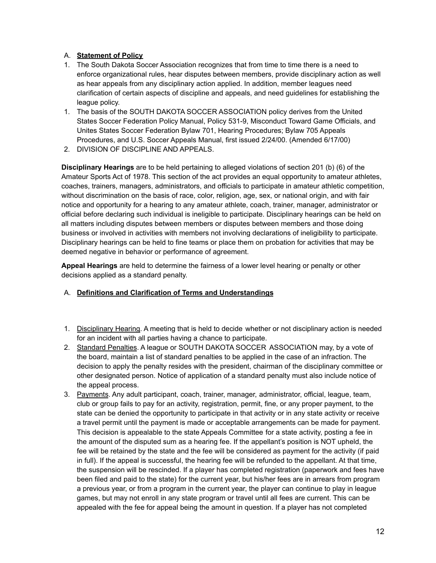### A. **Statement of Policy**

- 1. The South Dakota Soccer Association recognizes that from time to time there is a need to enforce organizational rules, hear disputes between members, provide disciplinary action as well as hear appeals from any disciplinary action applied. In addition, member leagues need clarification of certain aspects of discipline and appeals, and need guidelines for establishing the league policy.
- 1. The basis of the SOUTH DAKOTA SOCCER ASSOCIATION policy derives from the United States Soccer Federation Policy Manual, Policy 531-9, Misconduct Toward Game Officials, and Unites States Soccer Federation Bylaw 701, Hearing Procedures; Bylaw 705 Appeals Procedures, and U.S. Soccer Appeals Manual, first issued 2/24/00. (Amended 6/17/00)
- 2. DIVISION OF DISCIPLINE AND APPEALS.

**Disciplinary Hearings** are to be held pertaining to alleged violations of section 201 (b) (6) of the Amateur Sports Act of 1978. This section of the act provides an equal opportunity to amateur athletes, coaches, trainers, managers, administrators, and officials to participate in amateur athletic competition, without discrimination on the basis of race, color, religion, age, sex, or national origin, and with fair notice and opportunity for a hearing to any amateur athlete, coach, trainer, manager, administrator or official before declaring such individual is ineligible to participate. Disciplinary hearings can be held on all matters including disputes between members or disputes between members and those doing business or involved in activities with members not involving declarations of ineligibility to participate. Disciplinary hearings can be held to fine teams or place them on probation for activities that may be deemed negative in behavior or performance of agreement.

**Appeal Hearings** are held to determine the fairness of a lower level hearing or penalty or other decisions applied as a standard penalty.

### A. **Definitions and Clarification of Terms and Understandings**

- 1. Disciplinary Hearing. A meeting that is held to decide whether or not disciplinary action is needed for an incident with all parties having a chance to participate.
- 2. Standard Penalties. A league or SOUTH DAKOTA SOCCER ASSOCIATION may, by a vote of the board, maintain a list of standard penalties to be applied in the case of an infraction. The decision to apply the penalty resides with the president, chairman of the disciplinary committee or other designated person. Notice of application of a standard penalty must also include notice of the appeal process.
- 3. Payments. Any adult participant, coach, trainer, manager, administrator, official, league, team, club or group fails to pay for an activity, registration, permit, fine, or any proper payment, to the state can be denied the opportunity to participate in that activity or in any state activity or receive a travel permit until the payment is made or acceptable arrangements can be made for payment. This decision is appealable to the state Appeals Committee for a state activity, posting a fee in the amount of the disputed sum as a hearing fee. If the appellant's position is NOT upheld, the fee will be retained by the state and the fee will be considered as payment for the activity (if paid in full). If the appeal is successful, the hearing fee will be refunded to the appellant. At that time, the suspension will be rescinded. If a player has completed registration (paperwork and fees have been filed and paid to the state) for the current year, but his/her fees are in arrears from program a previous year, or from a program in the current year, the player can continue to play in league games, but may not enroll in any state program or travel until all fees are current. This can be appealed with the fee for appeal being the amount in question. If a player has not completed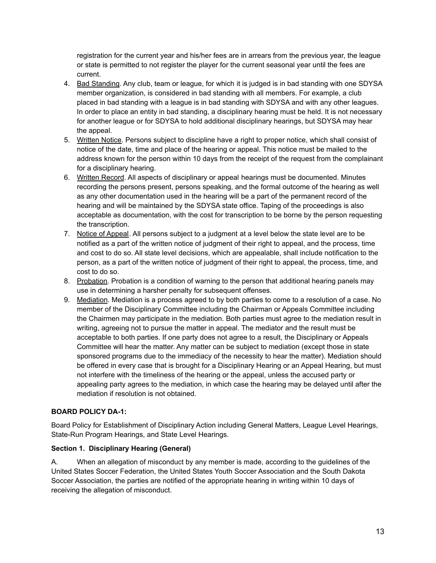registration for the current year and his/her fees are in arrears from the previous year, the league or state is permitted to not register the player for the current seasonal year until the fees are current.

- 4. Bad Standing. Any club, team or league, for which it is judged is in bad standing with one SDYSA member organization, is considered in bad standing with all members. For example, a club placed in bad standing with a league is in bad standing with SDYSA and with any other leagues. In order to place an entity in bad standing, a disciplinary hearing must be held. It is not necessary for another league or for SDYSA to hold additional disciplinary hearings, but SDYSA may hear the appeal.
- 5. Written Notice. Persons subject to discipline have a right to proper notice, which shall consist of notice of the date, time and place of the hearing or appeal. This notice must be mailed to the address known for the person within 10 days from the receipt of the request from the complainant for a disciplinary hearing.
- 6. Written Record. All aspects of disciplinary or appeal hearings must be documented. Minutes recording the persons present, persons speaking, and the formal outcome of the hearing as well as any other documentation used in the hearing will be a part of the permanent record of the hearing and will be maintained by the SDYSA state office. Taping of the proceedings is also acceptable as documentation, with the cost for transcription to be borne by the person requesting the transcription.
- 7. Notice of Appeal. All persons subject to a judgment at a level below the state level are to be notified as a part of the written notice of judgment of their right to appeal, and the process, time and cost to do so. All state level decisions, which are appealable, shall include notification to the person, as a part of the written notice of judgment of their right to appeal, the process, time, and cost to do so.
- 8. Probation. Probation is a condition of warning to the person that additional hearing panels may use in determining a harsher penalty for subsequent offenses.
- 9. Mediation. Mediation is a process agreed to by both parties to come to a resolution of a case. No member of the Disciplinary Committee including the Chairman or Appeals Committee including the Chairmen may participate in the mediation. Both parties must agree to the mediation result in writing, agreeing not to pursue the matter in appeal. The mediator and the result must be acceptable to both parties. If one party does not agree to a result, the Disciplinary or Appeals Committee will hear the matter. Any matter can be subject to mediation (except those in state sponsored programs due to the immediacy of the necessity to hear the matter). Mediation should be offered in every case that is brought for a Disciplinary Hearing or an Appeal Hearing, but must not interfere with the timeliness of the hearing or the appeal, unless the accused party or appealing party agrees to the mediation, in which case the hearing may be delayed until after the mediation if resolution is not obtained.

# **BOARD POLICY DA-1:**

Board Policy for Establishment of Disciplinary Action including General Matters, League Level Hearings, State-Run Program Hearings, and State Level Hearings.

### **Section 1. Disciplinary Hearing (General)**

A. When an allegation of misconduct by any member is made, according to the guidelines of the United States Soccer Federation, the United States Youth Soccer Association and the South Dakota Soccer Association, the parties are notified of the appropriate hearing in writing within 10 days of receiving the allegation of misconduct.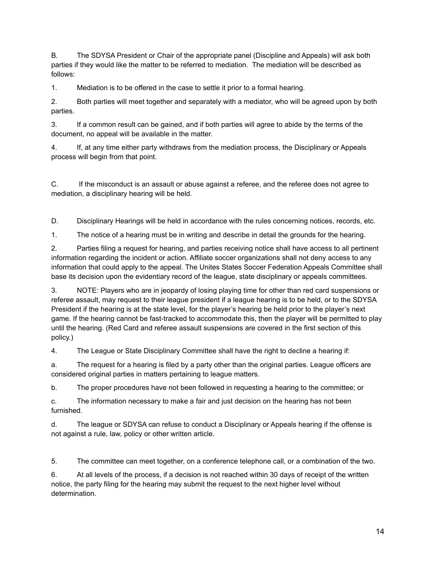B. The SDYSA President or Chair of the appropriate panel (Discipline and Appeals) will ask both parties if they would like the matter to be referred to mediation. The mediation will be described as follows:

1. Mediation is to be offered in the case to settle it prior to a formal hearing.

2. Both parties will meet together and separately with a mediator, who will be agreed upon by both parties.

3. If a common result can be gained, and if both parties will agree to abide by the terms of the document, no appeal will be available in the matter.

4. If, at any time either party withdraws from the mediation process, the Disciplinary or Appeals process will begin from that point.

C. If the misconduct is an assault or abuse against a referee, and the referee does not agree to mediation, a disciplinary hearing will be held.

D. Disciplinary Hearings will be held in accordance with the rules concerning notices, records, etc.

1. The notice of a hearing must be in writing and describe in detail the grounds for the hearing.

2. Parties filing a request for hearing, and parties receiving notice shall have access to all pertinent information regarding the incident or action. Affiliate soccer organizations shall not deny access to any information that could apply to the appeal. The Unites States Soccer Federation Appeals Committee shall base its decision upon the evidentiary record of the league, state disciplinary or appeals committees.

3. NOTE: Players who are in jeopardy of losing playing time for other than red card suspensions or referee assault, may request to their league president if a league hearing is to be held, or to the SDYSA President if the hearing is at the state level, for the player's hearing be held prior to the player's next game. If the hearing cannot be fast-tracked to accommodate this, then the player will be permitted to play until the hearing. (Red Card and referee assault suspensions are covered in the first section of this policy.)

4. The League or State Disciplinary Committee shall have the right to decline a hearing if:

a. The request for a hearing is filed by a party other than the original parties. League officers are considered original parties in matters pertaining to league matters.

b. The proper procedures have not been followed in requesting a hearing to the committee; or

c. The information necessary to make a fair and just decision on the hearing has not been furnished.

d. The league or SDYSA can refuse to conduct a Disciplinary or Appeals hearing if the offense is not against a rule, law, policy or other written article.

5. The committee can meet together, on a conference telephone call, or a combination of the two.

6. At all levels of the process, if a decision is not reached within 30 days of receipt of the written notice, the party filing for the hearing may submit the request to the next higher level without determination.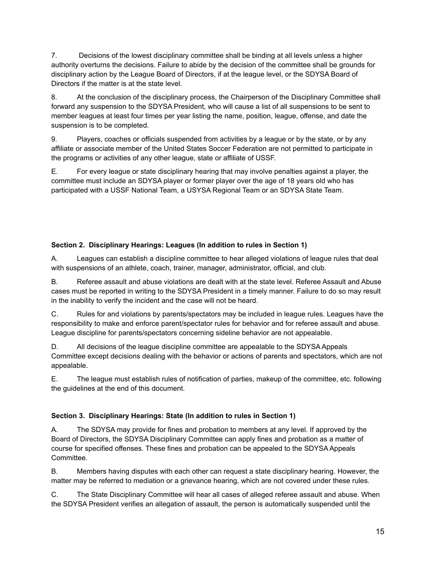7. Decisions of the lowest disciplinary committee shall be binding at all levels unless a higher authority overturns the decisions. Failure to abide by the decision of the committee shall be grounds for disciplinary action by the League Board of Directors, if at the league level, or the SDYSA Board of Directors if the matter is at the state level.

8. At the conclusion of the disciplinary process, the Chairperson of the Disciplinary Committee shall forward any suspension to the SDYSA President, who will cause a list of all suspensions to be sent to member leagues at least four times per year listing the name, position, league, offense, and date the suspension is to be completed.

9. Players, coaches or officials suspended from activities by a league or by the state, or by any affiliate or associate member of the United States Soccer Federation are not permitted to participate in the programs or activities of any other league, state or affiliate of USSF.

E. For every league or state disciplinary hearing that may involve penalties against a player, the committee must include an SDYSA player or former player over the age of 18 years old who has participated with a USSF National Team, a USYSA Regional Team or an SDYSA State Team.

# **Section 2. Disciplinary Hearings: Leagues (In addition to rules in Section 1)**

A. Leagues can establish a discipline committee to hear alleged violations of league rules that deal with suspensions of an athlete, coach, trainer, manager, administrator, official, and club.

B. Referee assault and abuse violations are dealt with at the state level. Referee Assault and Abuse cases must be reported in writing to the SDYSA President in a timely manner. Failure to do so may result in the inability to verify the incident and the case will not be heard.

C. Rules for and violations by parents/spectators may be included in league rules. Leagues have the responsibility to make and enforce parent/spectator rules for behavior and for referee assault and abuse. League discipline for parents/spectators concerning sideline behavior are not appealable.

D. All decisions of the league discipline committee are appealable to the SDYSA Appeals Committee except decisions dealing with the behavior or actions of parents and spectators, which are not appealable.

E. The league must establish rules of notification of parties, makeup of the committee, etc. following the guidelines at the end of this document.

# **Section 3. Disciplinary Hearings: State (In addition to rules in Section 1)**

A. The SDYSA may provide for fines and probation to members at any level. If approved by the Board of Directors, the SDYSA Disciplinary Committee can apply fines and probation as a matter of course for specified offenses. These fines and probation can be appealed to the SDYSA Appeals Committee.

B. Members having disputes with each other can request a state disciplinary hearing. However, the matter may be referred to mediation or a grievance hearing, which are not covered under these rules.

C. The State Disciplinary Committee will hear all cases of alleged referee assault and abuse. When the SDYSA President verifies an allegation of assault, the person is automatically suspended until the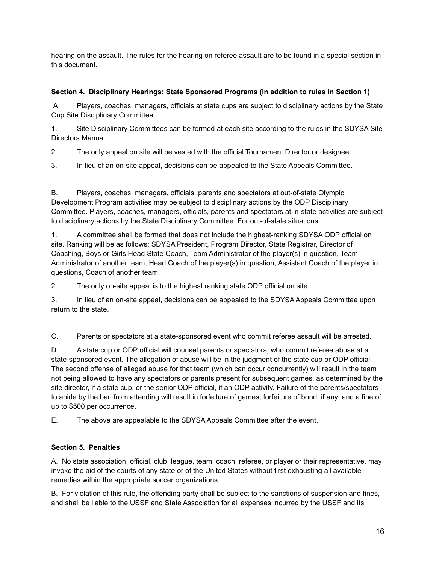hearing on the assault. The rules for the hearing on referee assault are to be found in a special section in this document.

### **Section 4. Disciplinary Hearings: State Sponsored Programs (In addition to rules in Section 1)**

A. Players, coaches, managers, officials at state cups are subject to disciplinary actions by the State Cup Site Disciplinary Committee.

1. Site Disciplinary Committees can be formed at each site according to the rules in the SDYSA Site Directors Manual.

- 2. The only appeal on site will be vested with the official Tournament Director or designee.
- 3. In lieu of an on-site appeal, decisions can be appealed to the State Appeals Committee.

B. Players, coaches, managers, officials, parents and spectators at out-of-state Olympic Development Program activities may be subject to disciplinary actions by the ODP Disciplinary Committee. Players, coaches, managers, officials, parents and spectators at in-state activities are subject to disciplinary actions by the State Disciplinary Committee. For out-of-state situations:

1. A committee shall be formed that does not include the highest-ranking SDYSA ODP official on site. Ranking will be as follows: SDYSA President, Program Director, State Registrar, Director of Coaching, Boys or Girls Head State Coach, Team Administrator of the player(s) in question, Team Administrator of another team, Head Coach of the player(s) in question, Assistant Coach of the player in questions, Coach of another team.

2. The only on-site appeal is to the highest ranking state ODP official on site.

3. In lieu of an on-site appeal, decisions can be appealed to the SDYSA Appeals Committee upon return to the state.

C. Parents or spectators at a state-sponsored event who commit referee assault will be arrested.

D. A state cup or ODP official will counsel parents or spectators, who commit referee abuse at a state-sponsored event. The allegation of abuse will be in the judgment of the state cup or ODP official. The second offense of alleged abuse for that team (which can occur concurrently) will result in the team not being allowed to have any spectators or parents present for subsequent games, as determined by the site director, if a state cup, or the senior ODP official, if an ODP activity. Failure of the parents/spectators to abide by the ban from attending will result in forfeiture of games; forfeiture of bond, if any; and a fine of up to \$500 per occurrence.

E. The above are appealable to the SDYSA Appeals Committee after the event.

# **Section 5. Penalties**

A. No state association, official, club, league, team, coach, referee, or player or their representative, may invoke the aid of the courts of any state or of the United States without first exhausting all available remedies within the appropriate soccer organizations.

B. For violation of this rule, the offending party shall be subject to the sanctions of suspension and fines, and shall be liable to the USSF and State Association for all expenses incurred by the USSF and its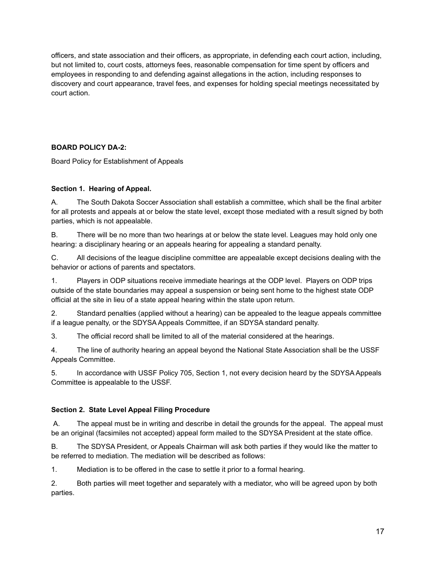officers, and state association and their officers, as appropriate, in defending each court action, including, but not limited to, court costs, attorneys fees, reasonable compensation for time spent by officers and employees in responding to and defending against allegations in the action, including responses to discovery and court appearance, travel fees, and expenses for holding special meetings necessitated by court action.

# **BOARD POLICY DA-2:**

Board Policy for Establishment of Appeals

# **Section 1. Hearing of Appeal.**

A. The South Dakota Soccer Association shall establish a committee, which shall be the final arbiter for all protests and appeals at or below the state level, except those mediated with a result signed by both parties, which is not appealable.

B. There will be no more than two hearings at or below the state level. Leagues may hold only one hearing: a disciplinary hearing or an appeals hearing for appealing a standard penalty.

C. All decisions of the league discipline committee are appealable except decisions dealing with the behavior or actions of parents and spectators.

1. Players in ODP situations receive immediate hearings at the ODP level. Players on ODP trips outside of the state boundaries may appeal a suspension or being sent home to the highest state ODP official at the site in lieu of a state appeal hearing within the state upon return.

2. Standard penalties (applied without a hearing) can be appealed to the league appeals committee if a league penalty, or the SDYSA Appeals Committee, if an SDYSA standard penalty.

3. The official record shall be limited to all of the material considered at the hearings.

4. The line of authority hearing an appeal beyond the National State Association shall be the USSF Appeals Committee.

5. In accordance with USSF Policy 705, Section 1, not every decision heard by the SDYSA Appeals Committee is appealable to the USSF.

# **Section 2. State Level Appeal Filing Procedure**

A. The appeal must be in writing and describe in detail the grounds for the appeal. The appeal must be an original (facsimiles not accepted) appeal form mailed to the SDYSA President at the state office.

B. The SDYSA President, or Appeals Chairman will ask both parties if they would like the matter to be referred to mediation. The mediation will be described as follows:

1. Mediation is to be offered in the case to settle it prior to a formal hearing.

2. Both parties will meet together and separately with a mediator, who will be agreed upon by both parties.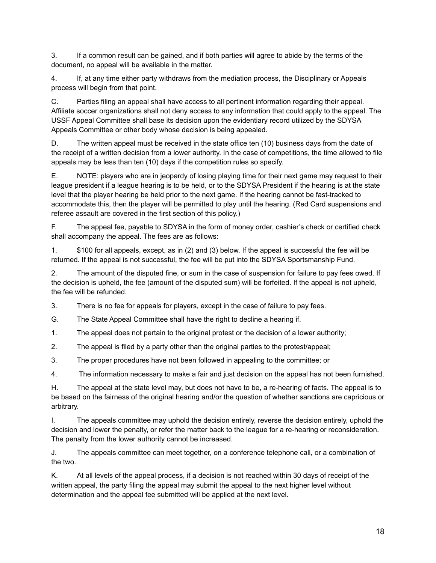3. If a common result can be gained, and if both parties will agree to abide by the terms of the document, no appeal will be available in the matter.

4. If, at any time either party withdraws from the mediation process, the Disciplinary or Appeals process will begin from that point.

C. Parties filing an appeal shall have access to all pertinent information regarding their appeal. Affiliate soccer organizations shall not deny access to any information that could apply to the appeal. The USSF Appeal Committee shall base its decision upon the evidentiary record utilized by the SDYSA Appeals Committee or other body whose decision is being appealed.

D. The written appeal must be received in the state office ten (10) business days from the date of the receipt of a written decision from a lower authority. In the case of competitions, the time allowed to file appeals may be less than ten (10) days if the competition rules so specify.

E. NOTE: players who are in jeopardy of losing playing time for their next game may request to their league president if a league hearing is to be held, or to the SDYSA President if the hearing is at the state level that the player hearing be held prior to the next game. If the hearing cannot be fast-tracked to accommodate this, then the player will be permitted to play until the hearing. (Red Card suspensions and referee assault are covered in the first section of this policy.)

F. The appeal fee, payable to SDYSA in the form of money order, cashier's check or certified check shall accompany the appeal. The fees are as follows:

1. \$100 for all appeals, except, as in (2) and (3) below. If the appeal is successful the fee will be returned. If the appeal is not successful, the fee will be put into the SDYSA Sportsmanship Fund.

2. The amount of the disputed fine, or sum in the case of suspension for failure to pay fees owed. If the decision is upheld, the fee (amount of the disputed sum) will be forfeited. If the appeal is not upheld, the fee will be refunded.

3. There is no fee for appeals for players, except in the case of failure to pay fees.

G. The State Appeal Committee shall have the right to decline a hearing if.

1. The appeal does not pertain to the original protest or the decision of a lower authority;

2. The appeal is filed by a party other than the original parties to the protest/appeal;

3. The proper procedures have not been followed in appealing to the committee; or

4. The information necessary to make a fair and just decision on the appeal has not been furnished.

H. The appeal at the state level may, but does not have to be, a re-hearing of facts. The appeal is to be based on the fairness of the original hearing and/or the question of whether sanctions are capricious or arbitrary.

I. The appeals committee may uphold the decision entirely, reverse the decision entirely, uphold the decision and lower the penalty, or refer the matter back to the league for a re-hearing or reconsideration. The penalty from the lower authority cannot be increased.

J. The appeals committee can meet together, on a conference telephone call, or a combination of the two.

K. At all levels of the appeal process, if a decision is not reached within 30 days of receipt of the written appeal, the party filing the appeal may submit the appeal to the next higher level without determination and the appeal fee submitted will be applied at the next level.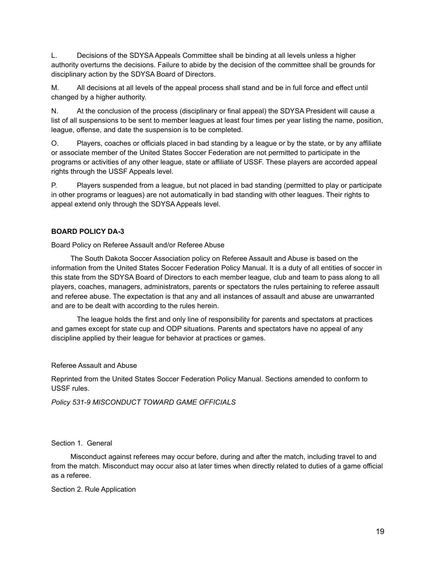L. Decisions of the SDYSA Appeals Committee shall be binding at all levels unless a higher authority overturns the decisions. Failure to abide by the decision of the committee shall be grounds for disciplinary action by the SDYSA Board of Directors.

M. All decisions at all levels of the appeal process shall stand and be in full force and effect until changed by a higher authority.

N. At the conclusion of the process (disciplinary or final appeal) the SDYSA President will cause a list of all suspensions to be sent to member leagues at least four times per year listing the name, position, league, offense, and date the suspension is to be completed.

O. Players, coaches or officials placed in bad standing by a league or by the state, or by any affiliate or associate member of the United States Soccer Federation are not permitted to participate in the programs or activities of any other league, state or affiliate of USSF. These players are accorded appeal rights through the USSF Appeals level.

P. Players suspended from a league, but not placed in bad standing (permitted to play or participate in other programs or leagues) are not automatically in bad standing with other leagues. Their rights to appeal extend only through the SDYSA Appeals level.

### **BOARD POLICY DA-3**

Board Policy on Referee Assault and/or Referee Abuse

The South Dakota Soccer Association policy on Referee Assault and Abuse is based on the information from the United States Soccer Federation Policy Manual. It is a duty of all entities of soccer in this state from the SDYSA Board of Directors to each member league, club and team to pass along to all players, coaches, managers, administrators, parents or spectators the rules pertaining to referee assault and referee abuse. The expectation is that any and all instances of assault and abuse are unwarranted and are to be dealt with according to the rules herein.

The league holds the first and only line of responsibility for parents and spectators at practices and games except for state cup and ODP situations. Parents and spectators have no appeal of any discipline applied by their league for behavior at practices or games.

### Referee Assault and Abuse

Reprinted from the United States Soccer Federation Policy Manual. Sections amended to conform to USSF rules.

*Policy 531-9 MISCONDUCT TOWARD GAME OFFICIALS*

#### Section 1. General

Misconduct against referees may occur before, during and after the match, including travel to and from the match. Misconduct may occur also at later times when directly related to duties of a game official as a referee.

Section 2. Rule Application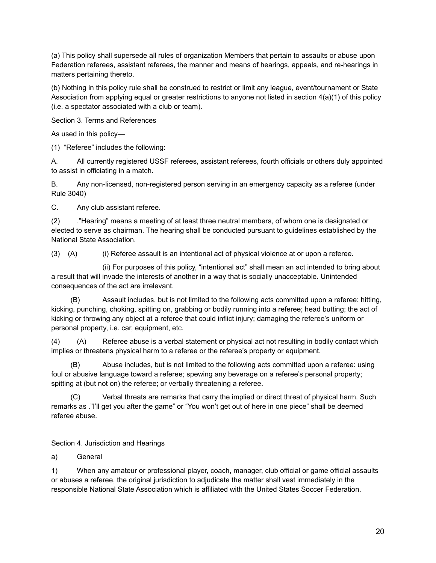(a) This policy shall supersede all rules of organization Members that pertain to assaults or abuse upon Federation referees, assistant referees, the manner and means of hearings, appeals, and re-hearings in matters pertaining thereto.

(b) Nothing in this policy rule shall be construed to restrict or limit any league, event/tournament or State Association from applying equal or greater restrictions to anyone not listed in section 4(a)(1) of this policy (i.e. a spectator associated with a club or team).

Section 3. Terms and References

As used in this policy—

(1) "Referee" includes the following:

A. All currently registered USSF referees, assistant referees, fourth officials or others duly appointed to assist in officiating in a match.

B. Any non-licensed, non-registered person serving in an emergency capacity as a referee (under Rule 3040)

C. Any club assistant referee.

(2) ."Hearing" means a meeting of at least three neutral members, of whom one is designated or elected to serve as chairman. The hearing shall be conducted pursuant to guidelines established by the National State Association.

(3) (A) (i) Referee assault is an intentional act of physical violence at or upon a referee.

(ii) For purposes of this policy, "intentional act" shall mean an act intended to bring about a result that will invade the interests of another in a way that is socially unacceptable. Unintended consequences of the act are irrelevant.

(B) Assault includes, but is not limited to the following acts committed upon a referee: hitting, kicking, punching, choking, spitting on, grabbing or bodily running into a referee; head butting; the act of kicking or throwing any object at a referee that could inflict injury; damaging the referee's uniform or personal property, i.e. car, equipment, etc.

(4) (A) Referee abuse is a verbal statement or physical act not resulting in bodily contact which implies or threatens physical harm to a referee or the referee's property or equipment.

(B) Abuse includes, but is not limited to the following acts committed upon a referee: using foul or abusive language toward a referee; spewing any beverage on a referee's personal property; spitting at (but not on) the referee; or verbally threatening a referee.

(C) Verbal threats are remarks that carry the implied or direct threat of physical harm. Such remarks as ."I'll get you after the game" or "You won't get out of here in one piece" shall be deemed referee abuse.

Section 4. Jurisdiction and Hearings

a) General

1) When any amateur or professional player, coach, manager, club official or game official assaults or abuses a referee, the original jurisdiction to adjudicate the matter shall vest immediately in the responsible National State Association which is affiliated with the United States Soccer Federation.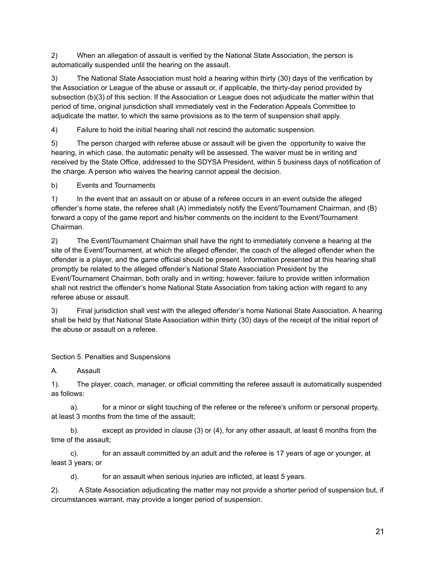2) When an allegation of assault is verified by the National State Association, the person is automatically suspended until the hearing on the assault.

3) The National State Association must hold a hearing within thirty (30) days of the verification by the Association or League of the abuse or assault or, if applicable, the thirty-day period provided by subsection (b)(3) of this section. If the Association or League does not adjudicate the matter within that period of time, original jurisdiction shall immediately vest in the Federation Appeals Committee to adjudicate the matter, to which the same provisions as to the term of suspension shall apply.

4) Failure to hold the initial hearing shall not rescind the automatic suspension.

5) The person charged with referee abuse or assault will be given the opportunity to waive the hearing, in which case, the automatic penalty will be assessed. The waiver must be in writing and received by the State Office, addressed to the SDYSA President, within 5 business days of notification of the charge. A person who waives the hearing cannot appeal the decision.

b) Events and Tournaments

1) In the event that an assault on or abuse of a referee occurs in an event outside the alleged offender's home state, the referee shall (A) immediately notify the Event/Tournament Chairman, and (B) forward a copy of the game report and his/her comments on the incident to the Event/Tournament Chairman.

2) The Event/Tournament Chairman shall have the right to immediately convene a hearing at the site of the Event/Tournament, at which the alleged offender, the coach of the alleged offender when the offender is a player, and the game official should be present. Information presented at this hearing shall promptly be related to the alleged offender's National State Association President by the Event/Tournament Chairman, both orally and in writing; however, failure to provide written information shall not restrict the offender's home National State Association from taking action with regard to any referee abuse or assault.

3) Final jurisdiction shall vest with the alleged offender's home National State Association. A hearing shall be held by that National State Association within thirty (30) days of the receipt of the initial report of the abuse or assault on a referee.

Section 5. Penalties and Suspensions

A. Assault

1). The player, coach, manager, or official committing the referee assault is automatically suspended as follows:

a). for a minor or slight touching of the referee or the referee's uniform or personal property, at least 3 months from the time of the assault;

b). except as provided in clause (3) or (4), for any other assault, at least 6 months from the time of the assault;

c). for an assault committed by an adult and the referee is 17 years of age or younger, at least 3 years; or

d). for an assault when serious injuries are inflicted, at least 5 years.

2). A State Association adjudicating the matter may not provide a shorter period of suspension but, if circumstances warrant, may provide a longer period of suspension.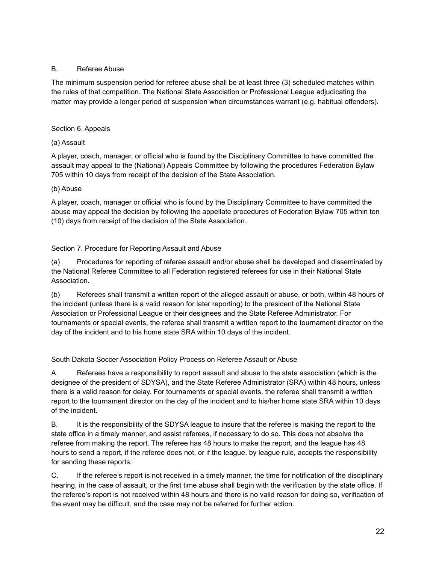### B. Referee Abuse

The minimum suspension period for referee abuse shall be at least three (3) scheduled matches within the rules of that competition. The National State Association or Professional League adjudicating the matter may provide a longer period of suspension when circumstances warrant (e.g. habitual offenders).

### Section 6. Appeals

### (a) Assault

A player, coach, manager, or official who is found by the Disciplinary Committee to have committed the assault may appeal to the (National) Appeals Committee by following the procedures Federation Bylaw 705 within 10 days from receipt of the decision of the State Association.

### (b) Abuse

A player, coach, manager or official who is found by the Disciplinary Committee to have committed the abuse may appeal the decision by following the appellate procedures of Federation Bylaw 705 within ten (10) days from receipt of the decision of the State Association.

### Section 7. Procedure for Reporting Assault and Abuse

(a) Procedures for reporting of referee assault and/or abuse shall be developed and disseminated by the National Referee Committee to all Federation registered referees for use in their National State Association.

(b) Referees shall transmit a written report of the alleged assault or abuse, or both, within 48 hours of the incident (unless there is a valid reason for later reporting) to the president of the National State Association or Professional League or their designees and the State Referee Administrator. For tournaments or special events, the referee shall transmit a written report to the tournament director on the day of the incident and to his home state SRA within 10 days of the incident.

# South Dakota Soccer Association Policy Process on Referee Assault or Abuse

A. Referees have a responsibility to report assault and abuse to the state association (which is the designee of the president of SDYSA), and the State Referee Administrator (SRA) within 48 hours, unless there is a valid reason for delay. For tournaments or special events, the referee shall transmit a written report to the tournament director on the day of the incident and to his/her home state SRA within 10 days of the incident.

B. It is the responsibility of the SDYSA league to insure that the referee is making the report to the state office in a timely manner, and assist referees, if necessary to do so. This does not absolve the referee from making the report. The referee has 48 hours to make the report, and the league has 48 hours to send a report, if the referee does not, or if the league, by league rule, accepts the responsibility for sending these reports.

C. If the referee's report is not received in a timely manner, the time for notification of the disciplinary hearing, in the case of assault, or the first time abuse shall begin with the verification by the state office. If the referee's report is not received within 48 hours and there is no valid reason for doing so, verification of the event may be difficult, and the case may not be referred for further action.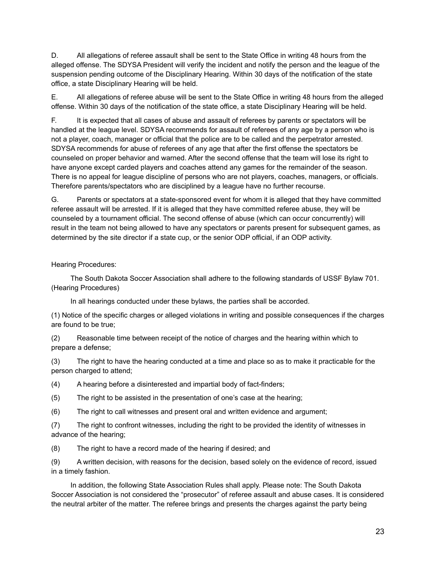D. All allegations of referee assault shall be sent to the State Office in writing 48 hours from the alleged offense. The SDYSA President will verify the incident and notify the person and the league of the suspension pending outcome of the Disciplinary Hearing. Within 30 days of the notification of the state office, a state Disciplinary Hearing will be held.

E. All allegations of referee abuse will be sent to the State Office in writing 48 hours from the alleged offense. Within 30 days of the notification of the state office, a state Disciplinary Hearing will be held.

F. It is expected that all cases of abuse and assault of referees by parents or spectators will be handled at the league level. SDYSA recommends for assault of referees of any age by a person who is not a player, coach, manager or official that the police are to be called and the perpetrator arrested. SDYSA recommends for abuse of referees of any age that after the first offense the spectators be counseled on proper behavior and warned. After the second offense that the team will lose its right to have anyone except carded players and coaches attend any games for the remainder of the season. There is no appeal for league discipline of persons who are not players, coaches, managers, or officials. Therefore parents/spectators who are disciplined by a league have no further recourse.

G. Parents or spectators at a state-sponsored event for whom it is alleged that they have committed referee assault will be arrested. If it is alleged that they have committed referee abuse, they will be counseled by a tournament official. The second offense of abuse (which can occur concurrently) will result in the team not being allowed to have any spectators or parents present for subsequent games, as determined by the site director if a state cup, or the senior ODP official, if an ODP activity.

### Hearing Procedures:

The South Dakota Soccer Association shall adhere to the following standards of USSF Bylaw 701. (Hearing Procedures)

In all hearings conducted under these bylaws, the parties shall be accorded.

(1) Notice of the specific charges or alleged violations in writing and possible consequences if the charges are found to be true;

(2) Reasonable time between receipt of the notice of charges and the hearing within which to prepare a defense;

(3) The right to have the hearing conducted at a time and place so as to make it practicable for the person charged to attend;

(4) A hearing before a disinterested and impartial body of fact-finders;

(5) The right to be assisted in the presentation of one's case at the hearing;

(6) The right to call witnesses and present oral and written evidence and argument;

(7) The right to confront witnesses, including the right to be provided the identity of witnesses in advance of the hearing;

(8) The right to have a record made of the hearing if desired; and

(9) A written decision, with reasons for the decision, based solely on the evidence of record, issued in a timely fashion.

In addition, the following State Association Rules shall apply. Please note: The South Dakota Soccer Association is not considered the "prosecutor" of referee assault and abuse cases. It is considered the neutral arbiter of the matter. The referee brings and presents the charges against the party being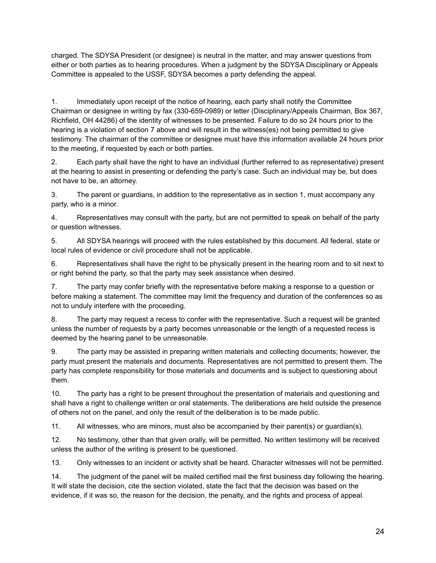charged. The SDYSA President (or designee) is neutral in the matter, and may answer questions from either or both parties as to hearing procedures. When a judgment by the SDYSA Disciplinary or Appeals Committee is appealed to the USSF, SDYSA becomes a party defending the appeal.

1. Immediately upon receipt of the notice of hearing, each party shall notify the Committee Chairman or designee in writing by fax (330-659-0989) or letter (Disciplinary/Appeals Chairman, Box 367, Richfield, OH 44286) of the identity of witnesses to be presented. Failure to do so 24 hours prior to the hearing is a violation of section 7 above and will result in the witness(es) not being permitted to give testimony. The chairman of the committee or designee must have this information available 24 hours prior to the meeting, if requested by each or both parties.

2. Each party shall have the right to have an individual (further referred to as representative) present at the hearing to assist in presenting or defending the party's case. Such an individual may be, but does not have to be, an attorney.

3. The parent or guardians, in addition to the representative as in section 1, must accompany any party, who is a minor.

4. Representatives may consult with the party, but are not permitted to speak on behalf of the party or question witnesses.

5. All SDYSA hearings will proceed with the rules established by this document. All federal, state or local rules of evidence or civil procedure shall not be applicable.

6. Representatives shall have the right to be physically present in the hearing room and to sit next to or right behind the party, so that the party may seek assistance when desired.

7. The party may confer briefly with the representative before making a response to a question or before making a statement. The committee may limit the frequency and duration of the conferences so as not to unduly interfere with the proceeding.

8. The party may request a recess to confer with the representative. Such a request will be granted unless the number of requests by a party becomes unreasonable or the length of a requested recess is deemed by the hearing panel to be unreasonable.

9. The party may be assisted in preparing written materials and collecting documents; however, the party must present the materials and documents. Representatives are not permitted to present them. The party has complete responsibility for those materials and documents and is subject to questioning about them.

10. The party has a right to be present throughout the presentation of materials and questioning and shall have a right to challenge written or oral statements. The deliberations are held outside the presence of others not on the panel, and only the result of the deliberation is to be made public.

11. All witnesses, who are minors, must also be accompanied by their parent(s) or guardian(s).

12. No testimony, other than that given orally, will be permitted. No written testimony will be received unless the author of the writing is present to be questioned.

13. Only witnesses to an incident or activity shall be heard. Character witnesses will not be permitted.

14. The judgment of the panel will be mailed certified mail the first business day following the hearing. It will state the decision, cite the section violated, state the fact that the decision was based on the evidence, if it was so, the reason for the decision, the penalty, and the rights and process of appeal.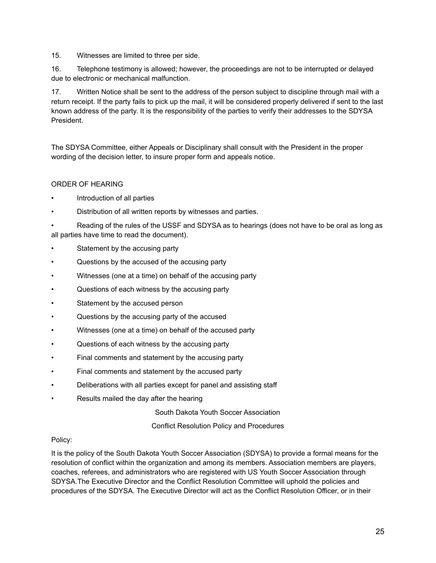15. Witnesses are limited to three per side.

16. Telephone testimony is allowed; however, the proceedings are not to be interrupted or delayed due to electronic or mechanical malfunction.

17. Written Notice shall be sent to the address of the person subject to discipline through mail with a return receipt. If the party fails to pick up the mail, it will be considered properly delivered if sent to the last known address of the party. It is the responsibility of the parties to verify their addresses to the SDYSA President.

The SDYSA Committee, either Appeals or Disciplinary shall consult with the President in the proper wording of the decision letter, to insure proper form and appeals notice.

# ORDER OF HEARING

- Introduction of all parties
- Distribution of all written reports by witnesses and parties.

• Reading of the rules of the USSF and SDYSA as to hearings (does not have to be oral as long as all parties have time to read the document).

- Statement by the accusing party
- Questions by the accused of the accusing party
- Witnesses (one at a time) on behalf of the accusing party
- Questions of each witness by the accusing party
- Statement by the accused person
- Questions by the accusing party of the accused
- Witnesses (one at a time) on behalf of the accused party
- Questions of each witness by the accusing party
- Final comments and statement by the accusing party
- Final comments and statement by the accused party
- Deliberations with all parties except for panel and assisting staff
- Results mailed the day after the hearing

South Dakota Youth Soccer Association

Conflict Resolution Policy and Procedures

# Policy:

It is the policy of the South Dakota Youth Soccer Association (SDYSA) to provide a formal means for the resolution of conflict within the organization and among its members. Association members are players, coaches, referees, and administrators who are registered with US Youth Soccer Association through SDYSA.The Executive Director and the Conflict Resolution Committee will uphold the policies and procedures of the SDYSA. The Executive Director will act as the Conflict Resolution Officer, or in their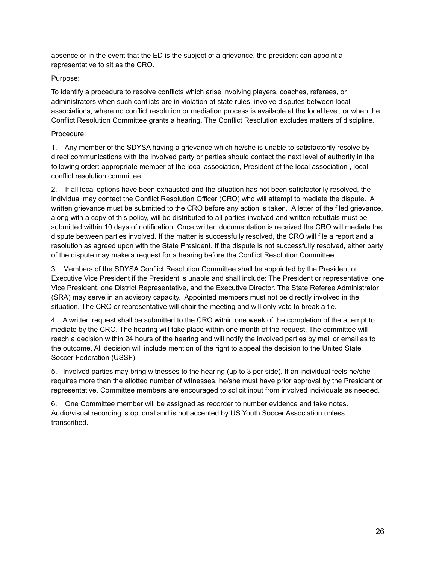absence or in the event that the ED is the subject of a grievance, the president can appoint a representative to sit as the CRO.

# Purpose:

To identify a procedure to resolve conflicts which arise involving players, coaches, referees, or administrators when such conflicts are in violation of state rules, involve disputes between local associations, where no conflict resolution or mediation process is available at the local level, or when the Conflict Resolution Committee grants a hearing. The Conflict Resolution excludes matters of discipline.

# Procedure:

1. Any member of the SDYSA having a grievance which he/she is unable to satisfactorily resolve by direct communications with the involved party or parties should contact the next level of authority in the following order: appropriate member of the local association, President of the local association , local conflict resolution committee.

2. If all local options have been exhausted and the situation has not been satisfactorily resolved, the individual may contact the Conflict Resolution Officer (CRO) who will attempt to mediate the dispute. A written grievance must be submitted to the CRO before any action is taken. A letter of the filed grievance, along with a copy of this policy, will be distributed to all parties involved and written rebuttals must be submitted within 10 days of notification. Once written documentation is received the CRO will mediate the dispute between parties involved. If the matter is successfully resolved, the CRO will file a report and a resolution as agreed upon with the State President. If the dispute is not successfully resolved, either party of the dispute may make a request for a hearing before the Conflict Resolution Committee.

3. Members of the SDYSA Conflict Resolution Committee shall be appointed by the President or Executive Vice President if the President is unable and shall include: The President or representative, one Vice President, one District Representative, and the Executive Director. The State Referee Administrator (SRA) may serve in an advisory capacity. Appointed members must not be directly involved in the situation. The CRO or representative will chair the meeting and will only vote to break a tie.

4. A written request shall be submitted to the CRO within one week of the completion of the attempt to mediate by the CRO. The hearing will take place within one month of the request. The committee will reach a decision within 24 hours of the hearing and will notify the involved parties by mail or email as to the outcome. All decision will include mention of the right to appeal the decision to the United State Soccer Federation (USSF).

5. Involved parties may bring witnesses to the hearing (up to 3 per side). If an individual feels he/she requires more than the allotted number of witnesses, he/she must have prior approval by the President or representative. Committee members are encouraged to solicit input from involved individuals as needed.

6. One Committee member will be assigned as recorder to number evidence and take notes. Audio/visual recording is optional and is not accepted by US Youth Soccer Association unless transcribed.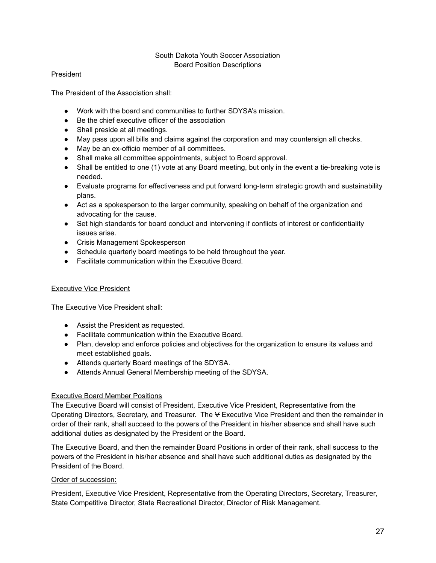### South Dakota Youth Soccer Association Board Position Descriptions

### President

The President of the Association shall:

- Work with the board and communities to further SDYSA's mission.
- Be the chief executive officer of the association
- Shall preside at all meetings.
- May pass upon all bills and claims against the corporation and may countersign all checks.
- May be an ex-officio member of all committees.
- Shall make all committee appointments, subject to Board approval.
- Shall be entitled to one (1) vote at any Board meeting, but only in the event a tie-breaking vote is needed.
- Evaluate programs for effectiveness and put forward long-term strategic growth and sustainability plans.
- Act as a spokesperson to the larger community, speaking on behalf of the organization and advocating for the cause.
- Set high standards for board conduct and intervening if conflicts of interest or confidentiality issues arise.
- Crisis Management Spokesperson
- Schedule quarterly board meetings to be held throughout the year.
- Facilitate communication within the Executive Board.

### Executive Vice President

The Executive Vice President shall:

- Assist the President as requested.
- Facilitate communication within the Executive Board.
- Plan, develop and enforce policies and objectives for the organization to ensure its values and meet established goals.
- Attends quarterly Board meetings of the SDYSA.
- Attends Annual General Membership meeting of the SDYSA.

### Executive Board Member Positions

The Executive Board will consist of President, Executive Vice President, Representative from the Operating Directors, Secretary, and Treasurer. The V Executive Vice President and then the remainder in order of their rank, shall succeed to the powers of the President in his/her absence and shall have such additional duties as designated by the President or the Board.

The Executive Board, and then the remainder Board Positions in order of their rank, shall success to the powers of the President in his/her absence and shall have such additional duties as designated by the President of the Board.

### Order of succession:

President, Executive Vice President, Representative from the Operating Directors, Secretary, Treasurer, State Competitive Director, State Recreational Director, Director of Risk Management.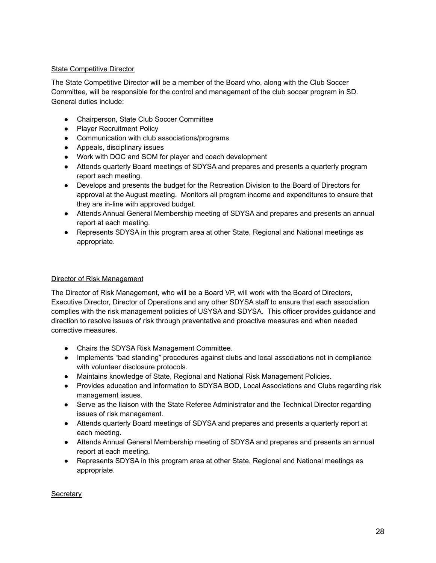### State Competitive Director

The State Competitive Director will be a member of the Board who, along with the Club Soccer Committee, will be responsible for the control and management of the club soccer program in SD. General duties include:

- Chairperson, State Club Soccer Committee
- Player Recruitment Policy
- Communication with club associations/programs
- Appeals, disciplinary issues
- Work with DOC and SOM for player and coach development
- Attends quarterly Board meetings of SDYSA and prepares and presents a quarterly program report each meeting.
- Develops and presents the budget for the Recreation Division to the Board of Directors for approval at the August meeting. Monitors all program income and expenditures to ensure that they are in-line with approved budget.
- Attends Annual General Membership meeting of SDYSA and prepares and presents an annual report at each meeting.
- Represents SDYSA in this program area at other State, Regional and National meetings as appropriate.

### Director of Risk Management

The Director of Risk Management, who will be a Board VP, will work with the Board of Directors, Executive Director, Director of Operations and any other SDYSA staff to ensure that each association complies with the risk management policies of USYSA and SDYSA. This officer provides guidance and direction to resolve issues of risk through preventative and proactive measures and when needed corrective measures.

- Chairs the SDYSA Risk Management Committee.
- Implements "bad standing" procedures against clubs and local associations not in compliance with volunteer disclosure protocols.
- Maintains knowledge of State, Regional and National Risk Management Policies.
- Provides education and information to SDYSA BOD, Local Associations and Clubs regarding risk management issues.
- Serve as the liaison with the State Referee Administrator and the Technical Director regarding issues of risk management.
- Attends quarterly Board meetings of SDYSA and prepares and presents a quarterly report at each meeting.
- Attends Annual General Membership meeting of SDYSA and prepares and presents an annual report at each meeting.
- Represents SDYSA in this program area at other State, Regional and National meetings as appropriate.

#### **Secretary**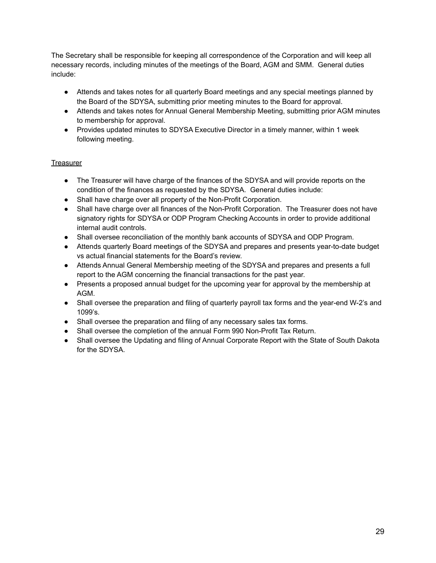The Secretary shall be responsible for keeping all correspondence of the Corporation and will keep all necessary records, including minutes of the meetings of the Board, AGM and SMM. General duties include:

- Attends and takes notes for all quarterly Board meetings and any special meetings planned by the Board of the SDYSA, submitting prior meeting minutes to the Board for approval.
- Attends and takes notes for Annual General Membership Meeting, submitting prior AGM minutes to membership for approval.
- Provides updated minutes to SDYSA Executive Director in a timely manner, within 1 week following meeting.

# **Treasurer**

- The Treasurer will have charge of the finances of the SDYSA and will provide reports on the condition of the finances as requested by the SDYSA. General duties include:
- Shall have charge over all property of the Non-Profit Corporation.
- Shall have charge over all finances of the Non-Profit Corporation. The Treasurer does not have signatory rights for SDYSA or ODP Program Checking Accounts in order to provide additional internal audit controls.
- Shall oversee reconciliation of the monthly bank accounts of SDYSA and ODP Program.
- Attends quarterly Board meetings of the SDYSA and prepares and presents year-to-date budget vs actual financial statements for the Board's review.
- Attends Annual General Membership meeting of the SDYSA and prepares and presents a full report to the AGM concerning the financial transactions for the past year.
- Presents a proposed annual budget for the upcoming year for approval by the membership at AGM.
- Shall oversee the preparation and filing of quarterly payroll tax forms and the year-end W-2's and 1099's.
- Shall oversee the preparation and filing of any necessary sales tax forms.
- Shall oversee the completion of the annual Form 990 Non-Profit Tax Return.
- Shall oversee the Updating and filing of Annual Corporate Report with the State of South Dakota for the SDYSA.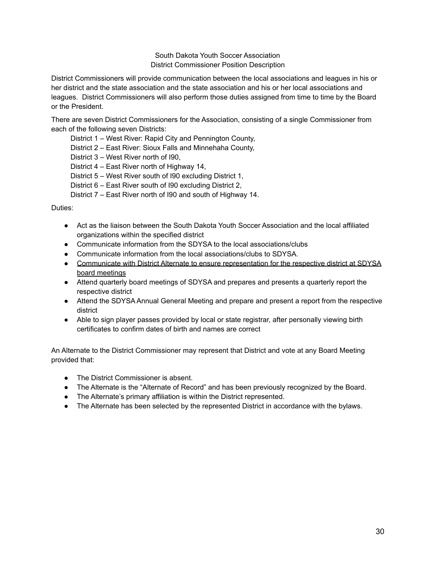### South Dakota Youth Soccer Association District Commissioner Position Description

District Commissioners will provide communication between the local associations and leagues in his or her district and the state association and the state association and his or her local associations and leagues. District Commissioners will also perform those duties assigned from time to time by the Board or the President.

There are seven District Commissioners for the Association, consisting of a single Commissioner from each of the following seven Districts:

District 1 – West River: Rapid City and Pennington County,

District 2 – East River: Sioux Falls and Minnehaha County,

District 3 – West River north of I90,

District 4 – East River north of Highway 14,

District 5 – West River south of I90 excluding District 1,

District 6 – East River south of I90 excluding District 2,

District 7 – East River north of I90 and south of Highway 14.

Duties:

- Act as the liaison between the South Dakota Youth Soccer Association and the local affiliated organizations within the specified district
- Communicate information from the SDYSA to the local associations/clubs
- Communicate information from the local associations/clubs to SDYSA.
- Communicate with District Alternate to ensure representation for the respective district at SDYSA board meetings
- Attend quarterly board meetings of SDYSA and prepares and presents a quarterly report the respective district
- Attend the SDYSA Annual General Meeting and prepare and present a report from the respective district
- Able to sign player passes provided by local or state registrar, after personally viewing birth certificates to confirm dates of birth and names are correct

An Alternate to the District Commissioner may represent that District and vote at any Board Meeting provided that:

- The District Commissioner is absent.
- The Alternate is the "Alternate of Record" and has been previously recognized by the Board.
- The Alternate's primary affiliation is within the District represented.
- The Alternate has been selected by the represented District in accordance with the bylaws.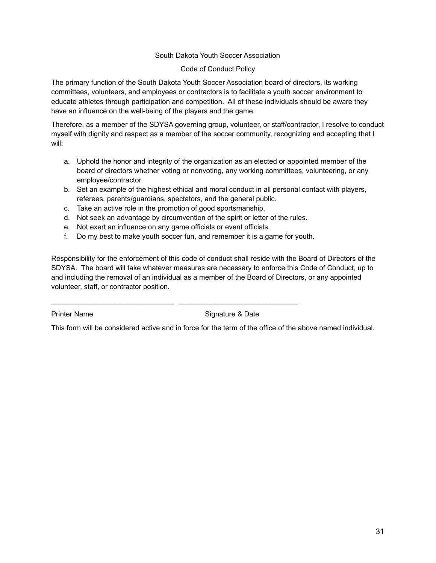### South Dakota Youth Soccer Association

#### Code of Conduct Policy

The primary function of the South Dakota Youth Soccer Association board of directors, its working committees, volunteers, and employees or contractors is to facilitate a youth soccer environment to educate athletes through participation and competition. All of these individuals should be aware they have an influence on the well-being of the players and the game.

Therefore, as a member of the SDYSA governing group, volunteer, or staff/contractor, I resolve to conduct myself with dignity and respect as a member of the soccer community, recognizing and accepting that I will:

- a. Uphold the honor and integrity of the organization as an elected or appointed member of the board of directors whether voting or nonvoting, any working committees, volunteering, or any employee/contractor.
- b. Set an example of the highest ethical and moral conduct in all personal contact with players, referees, parents/guardians, spectators, and the general public.
- c. Take an active role in the promotion of good sportsmanship.
- d. Not seek an advantage by circumvention of the spirit or letter of the rules.
- e. Not exert an influence on any game officials or event officials.

 $\_$  , and the set of the set of the set of the set of the set of the set of the set of the set of the set of the set of the set of the set of the set of the set of the set of the set of the set of the set of the set of th

f. Do my best to make youth soccer fun, and remember it is a game for youth.

Responsibility for the enforcement of this code of conduct shall reside with the Board of Directors of the SDYSA. The board will take whatever measures are necessary to enforce this Code of Conduct, up to and including the removal of an individual as a member of the Board of Directors, or any appointed volunteer, staff, or contractor position.

Printer Name Signature & Date

This form will be considered active and in force for the term of the office of the above named individual.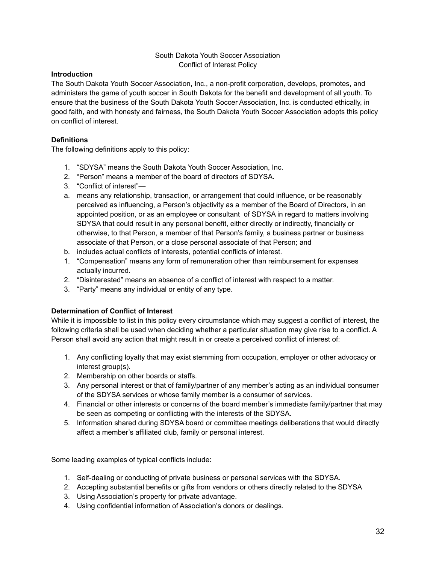### South Dakota Youth Soccer Association Conflict of Interest Policy

### **Introduction**

The South Dakota Youth Soccer Association, Inc., a non-profit corporation, develops, promotes, and administers the game of youth soccer in South Dakota for the benefit and development of all youth. To ensure that the business of the South Dakota Youth Soccer Association, Inc. is conducted ethically, in good faith, and with honesty and fairness, the South Dakota Youth Soccer Association adopts this policy on conflict of interest.

### **Definitions**

The following definitions apply to this policy:

- 1. "SDYSA" means the South Dakota Youth Soccer Association, Inc.
- 2. "Person" means a member of the board of directors of SDYSA.
- 3. "Conflict of interest"—
- a. means any relationship, transaction, or arrangement that could influence, or be reasonably perceived as influencing, a Person's objectivity as a member of the Board of Directors, in an appointed position, or as an employee or consultant of SDYSA in regard to matters involving SDYSA that could result in any personal benefit, either directly or indirectly, financially or otherwise, to that Person, a member of that Person's family, a business partner or business associate of that Person, or a close personal associate of that Person; and
- b. includes actual conflicts of interests, potential conflicts of interest.
- 1. "Compensation" means any form of remuneration other than reimbursement for expenses actually incurred.
- 2. "Disinterested" means an absence of a conflict of interest with respect to a matter.
- 3. "Party" means any individual or entity of any type.

# **Determination of Conflict of Interest**

While it is impossible to list in this policy every circumstance which may suggest a conflict of interest, the following criteria shall be used when deciding whether a particular situation may give rise to a conflict. A Person shall avoid any action that might result in or create a perceived conflict of interest of:

- 1. Any conflicting loyalty that may exist stemming from occupation, employer or other advocacy or interest group(s).
- 2. Membership on other boards or staffs.
- 3. Any personal interest or that of family/partner of any member's acting as an individual consumer of the SDYSA services or whose family member is a consumer of services.
- 4. Financial or other interests or concerns of the board member's immediate family/partner that may be seen as competing or conflicting with the interests of the SDYSA.
- 5. Information shared during SDYSA board or committee meetings deliberations that would directly affect a member's affiliated club, family or personal interest.

Some leading examples of typical conflicts include:

- 1. Self-dealing or conducting of private business or personal services with the SDYSA.
- 2. Accepting substantial benefits or gifts from vendors or others directly related to the SDYSA
- 3. Using Association's property for private advantage.
- 4. Using confidential information of Association's donors or dealings.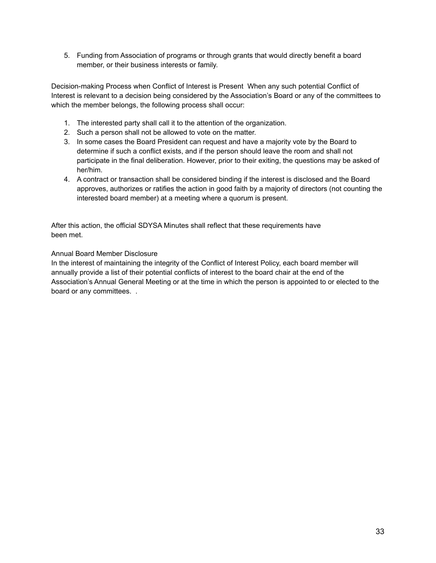5. Funding from Association of programs or through grants that would directly benefit a board member, or their business interests or family.

Decision-making Process when Conflict of Interest is Present When any such potential Conflict of Interest is relevant to a decision being considered by the Association's Board or any of the committees to which the member belongs, the following process shall occur:

- 1. The interested party shall call it to the attention of the organization.
- 2. Such a person shall not be allowed to vote on the matter.
- 3. In some cases the Board President can request and have a majority vote by the Board to determine if such a conflict exists, and if the person should leave the room and shall not participate in the final deliberation. However, prior to their exiting, the questions may be asked of her/him.
- 4. A contract or transaction shall be considered binding if the interest is disclosed and the Board approves, authorizes or ratifies the action in good faith by a majority of directors (not counting the interested board member) at a meeting where a quorum is present.

After this action, the official SDYSA Minutes shall reflect that these requirements have been met.

Annual Board Member Disclosure

In the interest of maintaining the integrity of the Conflict of Interest Policy, each board member will annually provide a list of their potential conflicts of interest to the board chair at the end of the Association's Annual General Meeting or at the time in which the person is appointed to or elected to the board or any committees. .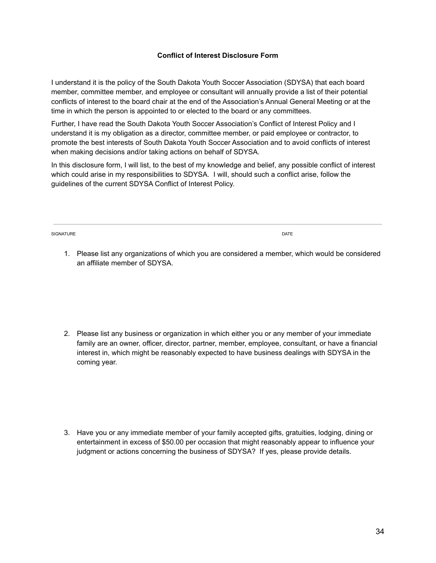#### **Conflict of Interest Disclosure Form**

I understand it is the policy of the South Dakota Youth Soccer Association (SDYSA) that each board member, committee member, and employee or consultant will annually provide a list of their potential conflicts of interest to the board chair at the end of the Association's Annual General Meeting or at the time in which the person is appointed to or elected to the board or any committees.

Further, I have read the South Dakota Youth Soccer Association's Conflict of Interest Policy and I understand it is my obligation as a director, committee member, or paid employee or contractor, to promote the best interests of South Dakota Youth Soccer Association and to avoid conflicts of interest when making decisions and/or taking actions on behalf of SDYSA.

In this disclosure form, I will list, to the best of my knowledge and belief, any possible conflict of interest which could arise in my responsibilities to SDYSA. I will, should such a conflict arise, follow the guidelines of the current SDYSA Conflict of Interest Policy.

SIGNATURE DATE DATE OF A SERIES OF A SERIES OF A SERIES OF A SERIES OF A SERIES OF A SERIES OF A SERIES OF A S

1. Please list any organizations of which you are considered a member, which would be considered an affiliate member of SDYSA.

2. Please list any business or organization in which either you or any member of your immediate family are an owner, officer, director, partner, member, employee, consultant, or have a financial interest in, which might be reasonably expected to have business dealings with SDYSA in the coming year.

3. Have you or any immediate member of your family accepted gifts, gratuities, lodging, dining or entertainment in excess of \$50.00 per occasion that might reasonably appear to influence your judgment or actions concerning the business of SDYSA? If yes, please provide details.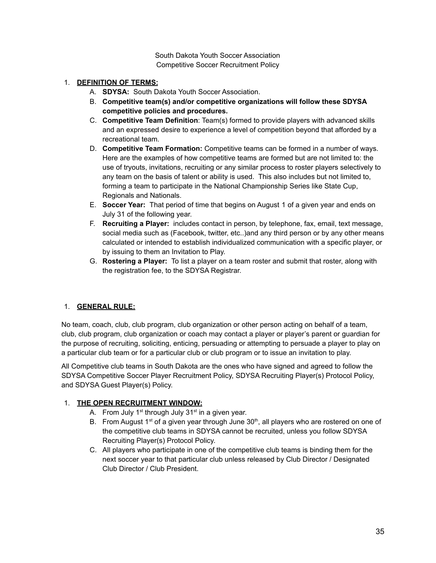South Dakota Youth Soccer Association Competitive Soccer Recruitment Policy

### 1. **DEFINITION OF TERMS:**

- A. **SDYSA:** South Dakota Youth Soccer Association.
- B. **Competitive team(s) and/or competitive organizations will follow these SDYSA competitive policies and procedures.**
- C. **Competitive Team Definition**: Team(s) formed to provide players with advanced skills and an expressed desire to experience a level of competition beyond that afforded by a recreational team.
- D. **Competitive Team Formation:** Competitive teams can be formed in a number of ways. Here are the examples of how competitive teams are formed but are not limited to: the use of tryouts, invitations, recruiting or any similar process to roster players selectively to any team on the basis of talent or ability is used. This also includes but not limited to, forming a team to participate in the National Championship Series like State Cup, Regionals and Nationals.
- E. **Soccer Year:** That period of time that begins on August 1 of a given year and ends on July 31 of the following year.
- F. **Recruiting a Player:** includes contact in person, by telephone, fax, email, text message, social media such as (Facebook, twitter, etc..)and any third person or by any other means calculated or intended to establish individualized communication with a specific player, or by issuing to them an Invitation to Play.
- G. **Rostering a Player:** To list a player on a team roster and submit that roster, along with the registration fee, to the SDYSA Registrar.

# 1. **GENERAL RULE:**

No team, coach, club, club program, club organization or other person acting on behalf of a team, club, club program, club organization or coach may contact a player or player's parent or guardian for the purpose of recruiting, soliciting, enticing, persuading or attempting to persuade a player to play on a particular club team or for a particular club or club program or to issue an invitation to play.

All Competitive club teams in South Dakota are the ones who have signed and agreed to follow the SDYSA Competitive Soccer Player Recruitment Policy, SDYSA Recruiting Player(s) Protocol Policy, and SDYSA Guest Player(s) Policy.

# 1. **THE OPEN RECRUITMENT WINDOW:**

- A. From July  $1<sup>st</sup>$  through July  $31<sup>st</sup>$  in a given year.
- B. From August 1<sup>st</sup> of a given year through June 30<sup>th</sup>, all players who are rostered on one of the competitive club teams in SDYSA cannot be recruited, unless you follow SDYSA Recruiting Player(s) Protocol Policy.
- C. All players who participate in one of the competitive club teams is binding them for the next soccer year to that particular club unless released by Club Director / Designated Club Director / Club President.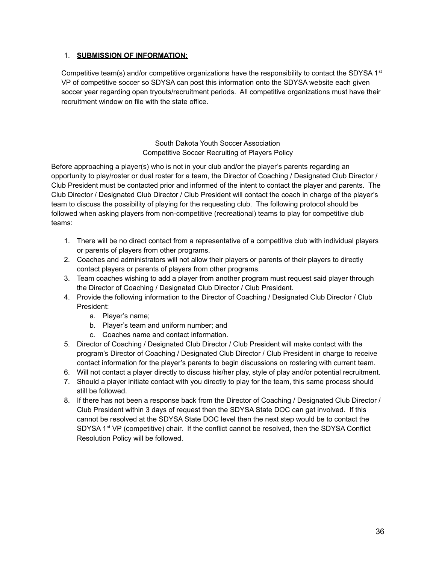### 1. **SUBMISSION OF INFORMATION:**

Competitive team(s) and/or competitive organizations have the responsibility to contact the SDYSA 1<sup>st</sup> VP of competitive soccer so SDYSA can post this information onto the SDYSA website each given soccer year regarding open tryouts/recruitment periods. All competitive organizations must have their recruitment window on file with the state office.

> South Dakota Youth Soccer Association Competitive Soccer Recruiting of Players Policy

Before approaching a player(s) who is not in your club and/or the player's parents regarding an opportunity to play/roster or dual roster for a team, the Director of Coaching / Designated Club Director / Club President must be contacted prior and informed of the intent to contact the player and parents. The Club Director / Designated Club Director / Club President will contact the coach in charge of the player's team to discuss the possibility of playing for the requesting club. The following protocol should be followed when asking players from non-competitive (recreational) teams to play for competitive club teams:

- 1. There will be no direct contact from a representative of a competitive club with individual players or parents of players from other programs.
- 2. Coaches and administrators will not allow their players or parents of their players to directly contact players or parents of players from other programs.
- 3. Team coaches wishing to add a player from another program must request said player through the Director of Coaching / Designated Club Director / Club President.
- 4. Provide the following information to the Director of Coaching / Designated Club Director / Club President:
	- a. Player's name;
	- b. Player's team and uniform number; and
	- c. Coaches name and contact information.
- 5. Director of Coaching / Designated Club Director / Club President will make contact with the program's Director of Coaching / Designated Club Director / Club President in charge to receive contact information for the player's parents to begin discussions on rostering with current team.
- 6. Will not contact a player directly to discuss his/her play, style of play and/or potential recruitment.
- 7. Should a player initiate contact with you directly to play for the team, this same process should still be followed.
- 8. If there has not been a response back from the Director of Coaching / Designated Club Director / Club President within 3 days of request then the SDYSA State DOC can get involved. If this cannot be resolved at the SDYSA State DOC level then the next step would be to contact the SDYSA 1<sup>st</sup> VP (competitive) chair. If the conflict cannot be resolved, then the SDYSA Conflict Resolution Policy will be followed.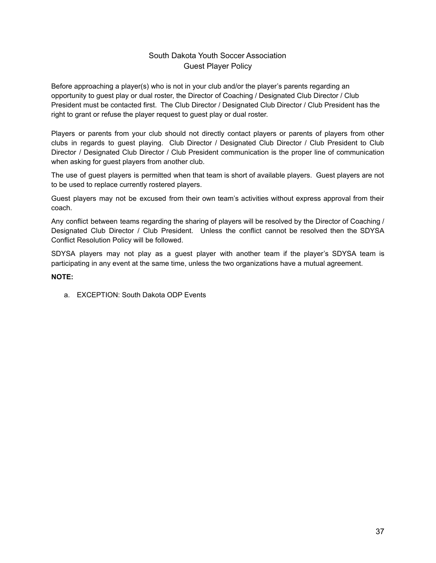# South Dakota Youth Soccer Association Guest Player Policy

Before approaching a player(s) who is not in your club and/or the player's parents regarding an opportunity to guest play or dual roster, the Director of Coaching / Designated Club Director / Club President must be contacted first. The Club Director / Designated Club Director / Club President has the right to grant or refuse the player request to guest play or dual roster.

Players or parents from your club should not directly contact players or parents of players from other clubs in regards to guest playing. Club Director / Designated Club Director / Club President to Club Director / Designated Club Director / Club President communication is the proper line of communication when asking for guest players from another club.

The use of guest players is permitted when that team is short of available players. Guest players are not to be used to replace currently rostered players.

Guest players may not be excused from their own team's activities without express approval from their coach.

Any conflict between teams regarding the sharing of players will be resolved by the Director of Coaching / Designated Club Director / Club President. Unless the conflict cannot be resolved then the SDYSA Conflict Resolution Policy will be followed.

SDYSA players may not play as a guest player with another team if the player's SDYSA team is participating in any event at the same time, unless the two organizations have a mutual agreement.

#### **NOTE:**

a. EXCEPTION: South Dakota ODP Events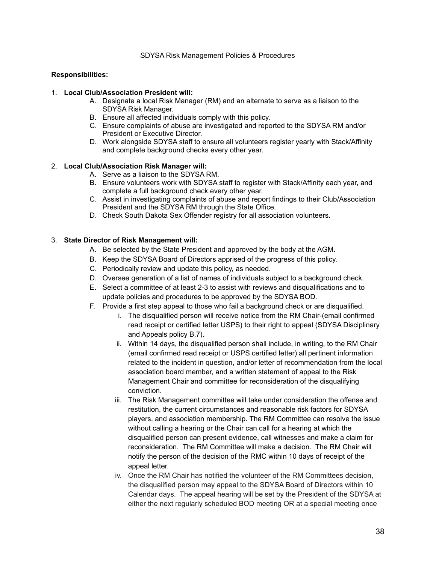#### **Responsibilities:**

#### 1. **Local Club/Association President will:**

- A. Designate a local Risk Manager (RM) and an alternate to serve as a liaison to the SDYSA Risk Manager.
- B. Ensure all affected individuals comply with this policy.
- C. Ensure complaints of abuse are investigated and reported to the SDYSA RM and/or President or Executive Director.
- D. Work alongside SDYSA staff to ensure all volunteers register yearly with Stack/Affinity and complete background checks every other year.

#### 2. **Local Club/Association Risk Manager will:**

- A. Serve as a liaison to the SDYSA RM.
- B. Ensure volunteers work with SDYSA staff to register with Stack/Affinity each year, and complete a full background check every other year.
- C. Assist in investigating complaints of abuse and report findings to their Club/Association President and the SDYSA RM through the State Office.
- D. Check South Dakota Sex Offender registry for all association volunteers.

#### 3. **State Director of Risk Management will:**

- A. Be selected by the State President and approved by the body at the AGM.
- B. Keep the SDYSA Board of Directors apprised of the progress of this policy.
- C. Periodically review and update this policy, as needed.
- D. Oversee generation of a list of names of individuals subject to a background check.
- E. Select a committee of at least 2-3 to assist with reviews and disqualifications and to update policies and procedures to be approved by the SDYSA BOD.
- F. Provide a first step appeal to those who fail a background check or are disqualified.
	- i. The disqualified person will receive notice from the RM Chair-(email confirmed read receipt or certified letter USPS) to their right to appeal (SDYSA Disciplinary and Appeals policy B.7).
	- ii. Within 14 days, the disqualified person shall include, in writing, to the RM Chair (email confirmed read receipt or USPS certified letter) all pertinent information related to the incident in question, and/or letter of recommendation from the local association board member, and a written statement of appeal to the Risk Management Chair and committee for reconsideration of the disqualifying conviction.
	- iii. The Risk Management committee will take under consideration the offense and restitution, the current circumstances and reasonable risk factors for SDYSA players, and association membership. The RM Committee can resolve the issue without calling a hearing or the Chair can call for a hearing at which the disqualified person can present evidence, call witnesses and make a claim for reconsideration. The RM Committee will make a decision. The RM Chair will notify the person of the decision of the RMC within 10 days of receipt of the appeal letter.
	- iv. Once the RM Chair has notified the volunteer of the RM Committees decision, the disqualified person may appeal to the SDYSA Board of Directors within 10 Calendar days. The appeal hearing will be set by the President of the SDYSA at either the next regularly scheduled BOD meeting OR at a special meeting once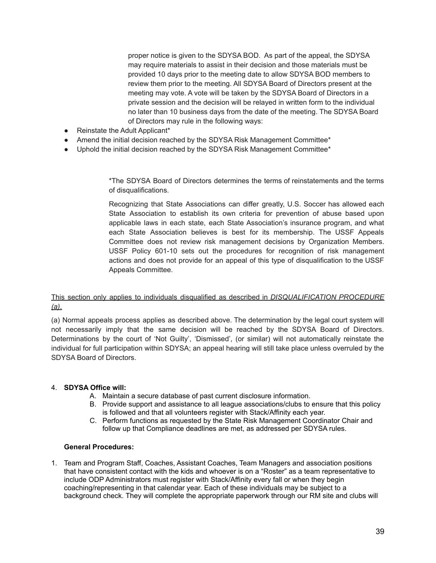proper notice is given to the SDYSA BOD. As part of the appeal, the SDYSA may require materials to assist in their decision and those materials must be provided 10 days prior to the meeting date to allow SDYSA BOD members to review them prior to the meeting. All SDYSA Board of Directors present at the meeting may vote. A vote will be taken by the SDYSA Board of Directors in a private session and the decision will be relayed in written form to the individual no later than 10 business days from the date of the meeting. The SDYSA Board of Directors may rule in the following ways:

- Reinstate the Adult Applicant\*
- Amend the initial decision reached by the SDYSA Risk Management Committee\*
- Uphold the initial decision reached by the SDYSA Risk Management Committee\*

\*The SDYSA Board of Directors determines the terms of reinstatements and the terms of disqualifications.

Recognizing that State Associations can differ greatly, U.S. Soccer has allowed each State Association to establish its own criteria for prevention of abuse based upon applicable laws in each state, each State Association's insurance program, and what each State Association believes is best for its membership. The USSF Appeals Committee does not review risk management decisions by Organization Members. USSF Policy 601-10 sets out the procedures for recognition of risk management actions and does not provide for an appeal of this type of disqualification to the USSF Appeals Committee.

### This section only applies to individuals disqualified as described in *DISQUALIFICATION PROCEDURE (a)*.

(a) Normal appeals process applies as described above. The determination by the legal court system will not necessarily imply that the same decision will be reached by the SDYSA Board of Directors. Determinations by the court of 'Not Guilty', 'Dismissed', (or similar) will not automatically reinstate the individual for full participation within SDYSA; an appeal hearing will still take place unless overruled by the SDYSA Board of Directors.

### 4. **SDYSA Office will:**

- A. Maintain a secure database of past current disclosure information.
- B. Provide support and assistance to all league associations/clubs to ensure that this policy is followed and that all volunteers register with Stack/Affinity each year.
- C. Perform functions as requested by the State Risk Management Coordinator Chair and follow up that Compliance deadlines are met, as addressed per SDYSA rules.

#### **General Procedures:**

1. Team and Program Staff, Coaches, Assistant Coaches, Team Managers and association positions that have consistent contact with the kids and whoever is on a "Roster" as a team representative to include ODP Administrators must register with Stack/Affinity every fall or when they begin coaching/representing in that calendar year. Each of these individuals may be subject to a background check. They will complete the appropriate paperwork through our RM site and clubs will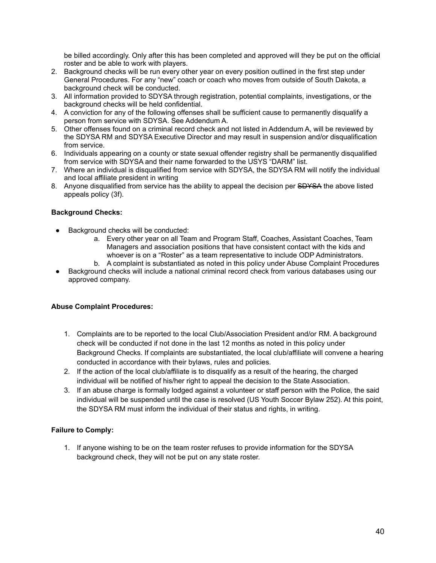be billed accordingly. Only after this has been completed and approved will they be put on the official roster and be able to work with players.

- 2. Background checks will be run every other year on every position outlined in the first step under General Procedures. For any "new" coach or coach who moves from outside of South Dakota, a background check will be conducted.
- 3. All information provided to SDYSA through registration, potential complaints, investigations, or the background checks will be held confidential.
- 4. A conviction for any of the following offenses shall be sufficient cause to permanently disqualify a person from service with SDYSA. See Addendum A.
- 5. Other offenses found on a criminal record check and not listed in Addendum A, will be reviewed by the SDYSA RM and SDYSA Executive Director and may result in suspension and/or disqualification from service.
- 6. Individuals appearing on a county or state sexual offender registry shall be permanently disqualified from service with SDYSA and their name forwarded to the USYS "DARM" list.
- 7. Where an individual is disqualified from service with SDYSA, the SDYSA RM will notify the individual and local affiliate president in writing
- 8. Anyone disqualified from service has the ability to appeal the decision per SDYSA the above listed appeals policy (3f).

### **Background Checks:**

- Background checks will be conducted:
	- a. Every other year on all Team and Program Staff, Coaches, Assistant Coaches, Team Managers and association positions that have consistent contact with the kids and whoever is on a "Roster" as a team representative to include ODP Administrators.
	- b. A complaint is substantiated as noted in this policy under Abuse Complaint Procedures
- Background checks will include a national criminal record check from various databases using our approved company.

### **Abuse Complaint Procedures:**

- 1. Complaints are to be reported to the local Club/Association President and/or RM. A background check will be conducted if not done in the last 12 months as noted in this policy under Background Checks. If complaints are substantiated, the local club/affiliate will convene a hearing conducted in accordance with their bylaws, rules and policies.
- 2. If the action of the local club/affiliate is to disqualify as a result of the hearing, the charged individual will be notified of his/her right to appeal the decision to the State Association.
- 3. If an abuse charge is formally lodged against a volunteer or staff person with the Police, the said individual will be suspended until the case is resolved (US Youth Soccer Bylaw 252). At this point, the SDYSA RM must inform the individual of their status and rights, in writing.

### **Failure to Comply:**

1. If anyone wishing to be on the team roster refuses to provide information for the SDYSA background check, they will not be put on any state roster.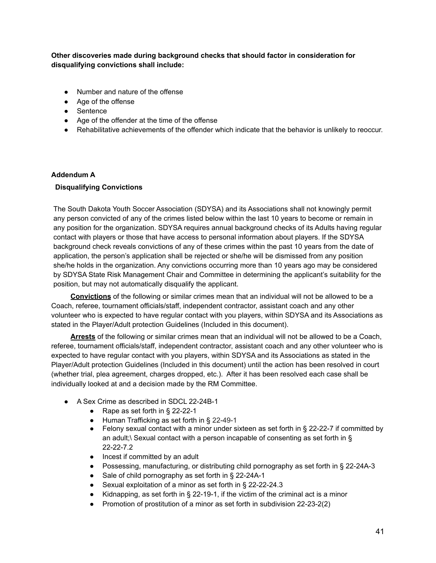**Other discoveries made during background checks that should factor in consideration for disqualifying convictions shall include:**

- Number and nature of the offense
- Age of the offense
- Sentence
- Age of the offender at the time of the offense
- Rehabilitative achievements of the offender which indicate that the behavior is unlikely to reoccur.

### **Addendum A**

### **Disqualifying Convictions**

The South Dakota Youth Soccer Association (SDYSA) and its Associations shall not knowingly permit any person convicted of any of the crimes listed below within the last 10 years to become or remain in any position for the organization. SDYSA requires annual background checks of its Adults having regular contact with players or those that have access to personal information about players. If the SDYSA background check reveals convictions of any of these crimes within the past 10 years from the date of application, the person's application shall be rejected or she/he will be dismissed from any position she/he holds in the organization. Any convictions occurring more than 10 years ago may be considered by SDYSA State Risk Management Chair and Committee in determining the applicant's suitability for the position, but may not automatically disqualify the applicant.

**Convictions** of the following or similar crimes mean that an individual will not be allowed to be a Coach, referee, tournament officials/staff, independent contractor, assistant coach and any other volunteer who is expected to have regular contact with you players, within SDYSA and its Associations as stated in the Player/Adult protection Guidelines (Included in this document).

**Arrests** of the following or similar crimes mean that an individual will not be allowed to be a Coach, referee, tournament officials/staff, independent contractor, assistant coach and any other volunteer who is expected to have regular contact with you players, within SDYSA and its Associations as stated in the Player/Adult protection Guidelines (Included in this document) until the action has been resolved in court (whether trial, plea agreement, charges dropped, etc.). After it has been resolved each case shall be individually looked at and a decision made by the RM Committee.

- A Sex Crime as described in SDCL 22-24B-1
	- Rape as set forth in § 22-22-1
	- Human Trafficking as set forth in § 22-49-1
	- Felony sexual contact with a minor under sixteen as set forth in  $\S$  22-22-7 if committed by an adult;\ Sexual contact with a person incapable of consenting as set forth in § 22-22-7.2
	- Incest if committed by an adult
	- Possessing, manufacturing, or distributing child pornography as set forth in § 22-24A-3
	- Sale of child pornography as set forth in § 22-24A-1
	- Sexual exploitation of a minor as set forth in § 22-22-24.3
	- Kidnapping, as set forth in § 22-19-1, if the victim of the criminal act is a minor
	- Promotion of prostitution of a minor as set forth in subdivision 22-23-2(2)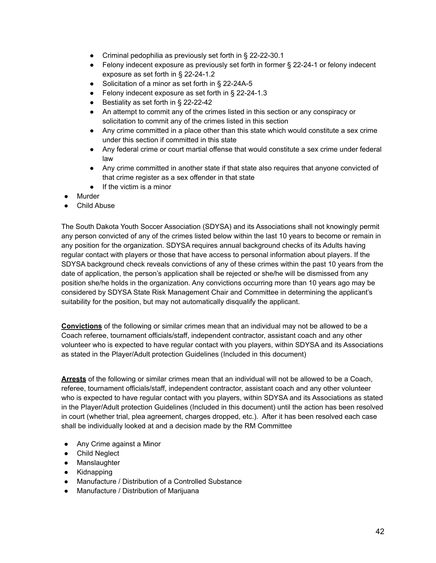- Criminal pedophilia as previously set forth in § 22-22-30.1
- Felony indecent exposure as previously set forth in former § 22-24-1 or felony indecent exposure as set forth in § 22-24-1.2
- Solicitation of a minor as set forth in § 22-24A-5
- Felony indecent exposure as set forth in § 22-24-1.3
- Bestiality as set forth in § 22-22-42
- An attempt to commit any of the crimes listed in this section or any conspiracy or solicitation to commit any of the crimes listed in this section
- Any crime committed in a place other than this state which would constitute a sex crime under this section if committed in this state
- Any federal crime or court martial offense that would constitute a sex crime under federal law
- Any crime committed in another state if that state also requires that anyone convicted of that crime register as a sex offender in that state
- If the victim is a minor
- **Murder**
- **Child Abuse**

The South Dakota Youth Soccer Association (SDYSA) and its Associations shall not knowingly permit any person convicted of any of the crimes listed below within the last 10 years to become or remain in any position for the organization. SDYSA requires annual background checks of its Adults having regular contact with players or those that have access to personal information about players. If the SDYSA background check reveals convictions of any of these crimes within the past 10 years from the date of application, the person's application shall be rejected or she/he will be dismissed from any position she/he holds in the organization. Any convictions occurring more than 10 years ago may be considered by SDYSA State Risk Management Chair and Committee in determining the applicant's suitability for the position, but may not automatically disqualify the applicant.

**Convictions** of the following or similar crimes mean that an individual may not be allowed to be a Coach referee, tournament officials/staff, independent contractor, assistant coach and any other volunteer who is expected to have regular contact with you players, within SDYSA and its Associations as stated in the Player/Adult protection Guidelines (Included in this document)

**Arrests** of the following or similar crimes mean that an individual will not be allowed to be a Coach, referee, tournament officials/staff, independent contractor, assistant coach and any other volunteer who is expected to have regular contact with you players, within SDYSA and its Associations as stated in the Player/Adult protection Guidelines (Included in this document) until the action has been resolved in court (whether trial, plea agreement, charges dropped, etc.). After it has been resolved each case shall be individually looked at and a decision made by the RM Committee

- Any Crime against a Minor
- Child Neglect
- Manslaughter
- Kidnapping
- Manufacture / Distribution of a Controlled Substance
- Manufacture / Distribution of Marijuana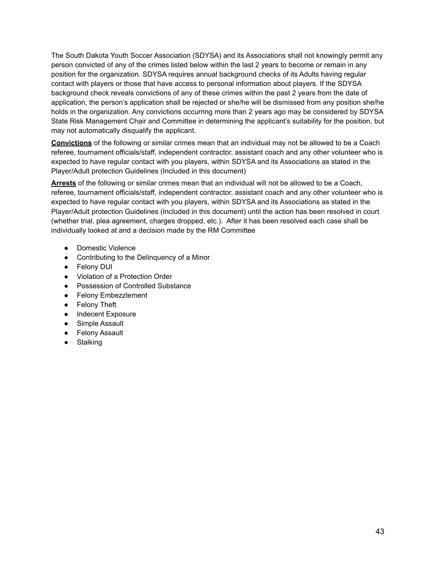The South Dakota Youth Soccer Association (SDYSA) and its Associations shall not knowingly permit any person convicted of any of the crimes listed below within the last 2 years to become or remain in any position for the organization. SDYSA requires annual background checks of its Adults having regular contact with players or those that have access to personal information about players. If the SDYSA background check reveals convictions of any of these crimes within the past 2 years from the date of application, the person's application shall be rejected or she/he will be dismissed from any position she/he holds in the organization. Any convictions occurring more than 2 years ago may be considered by SDYSA State Risk Management Chair and Committee in determining the applicant's suitability for the position, but may not automatically disqualify the applicant.

**Convictions** of the following or similar crimes mean that an individual may not be allowed to be a Coach referee, tournament officials/staff, independent contractor, assistant coach and any other volunteer who is expected to have regular contact with you players, within SDYSA and its Associations as stated in the Player/Adult protection Guidelines (Included in this document)

**Arrests** of the following or similar crimes mean that an individual will not be allowed to be a Coach, referee, tournament officials/staff, independent contractor, assistant coach and any other volunteer who is expected to have regular contact with you players, within SDYSA and its Associations as stated in the Player/Adult protection Guidelines (Included in this document) until the action has been resolved in court (whether trial, plea agreement, charges dropped, etc.). After it has been resolved each case shall be individually looked at and a decision made by the RM Committee

- Domestic Violence
- Contributing to the Delinquency of a Minor
- Felony DUI
- Violation of a Protection Order
- Possession of Controlled Substance
- Felony Embezzlement
- Felony Theft
- Indecent Exposure
- Simple Assault
- Felony Assault
- Stalking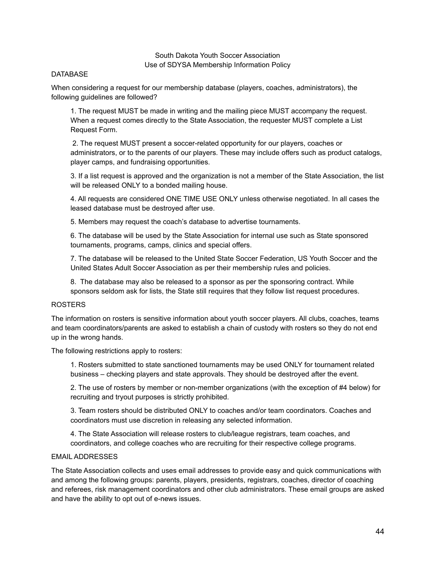South Dakota Youth Soccer Association Use of SDYSA Membership Information Policy

#### **DATABASE**

When considering a request for our membership database (players, coaches, administrators), the following guidelines are followed?

1. The request MUST be made in writing and the mailing piece MUST accompany the request. When a request comes directly to the State Association, the requester MUST complete a List Request Form.

2. The request MUST present a soccer-related opportunity for our players, coaches or administrators, or to the parents of our players. These may include offers such as product catalogs, player camps, and fundraising opportunities.

3. If a list request is approved and the organization is not a member of the State Association, the list will be released ONLY to a bonded mailing house.

4. All requests are considered ONE TIME USE ONLY unless otherwise negotiated. In all cases the leased database must be destroyed after use.

5. Members may request the coach's database to advertise tournaments.

6. The database will be used by the State Association for internal use such as State sponsored tournaments, programs, camps, clinics and special offers.

7. The database will be released to the United State Soccer Federation, US Youth Soccer and the United States Adult Soccer Association as per their membership rules and policies.

8. The database may also be released to a sponsor as per the sponsoring contract. While sponsors seldom ask for lists, the State still requires that they follow list request procedures.

#### ROSTERS

The information on rosters is sensitive information about youth soccer players. All clubs, coaches, teams and team coordinators/parents are asked to establish a chain of custody with rosters so they do not end up in the wrong hands.

The following restrictions apply to rosters:

1. Rosters submitted to state sanctioned tournaments may be used ONLY for tournament related business – checking players and state approvals. They should be destroyed after the event.

2. The use of rosters by member or non-member organizations (with the exception of #4 below) for recruiting and tryout purposes is strictly prohibited.

3. Team rosters should be distributed ONLY to coaches and/or team coordinators. Coaches and coordinators must use discretion in releasing any selected information.

4. The State Association will release rosters to club/league registrars, team coaches, and coordinators, and college coaches who are recruiting for their respective college programs.

### EMAIL ADDRESSES

The State Association collects and uses email addresses to provide easy and quick communications with and among the following groups: parents, players, presidents, registrars, coaches, director of coaching and referees, risk management coordinators and other club administrators. These email groups are asked and have the ability to opt out of e-news issues.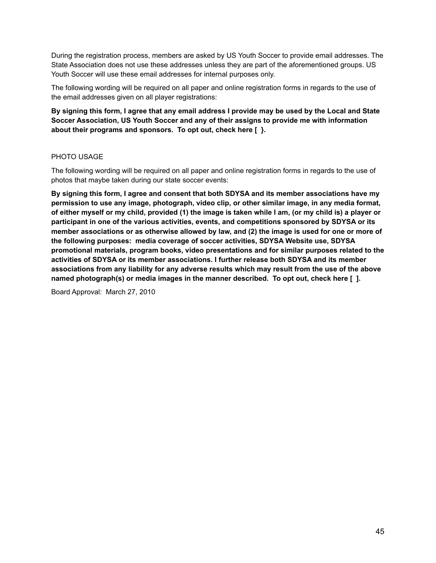During the registration process, members are asked by US Youth Soccer to provide email addresses. The State Association does not use these addresses unless they are part of the aforementioned groups. US Youth Soccer will use these email addresses for internal purposes only.

The following wording will be required on all paper and online registration forms in regards to the use of the email addresses given on all player registrations:

### By signing this form, I agree that any email address I provide may be used by the Local and State **Soccer Association, US Youth Soccer and any of their assigns to provide me with information about their programs and sponsors. To opt out, check here [ }.**

### PHOTO USAGE

The following wording will be required on all paper and online registration forms in regards to the use of photos that maybe taken during our state soccer events:

**By signing this form, I agree and consent that both SDYSA and its member associations have my permission to use any image, photograph, video clip, or other similar image, in any media format,** of either myself or my child, provided (1) the image is taken while I am, (or my child is) a player or **participant in one of the various activities, events, and competitions sponsored by SDYSA or its** member associations or as otherwise allowed by law, and (2) the image is used for one or more of **the following purposes: media coverage of soccer activities, SDYSA Website use, SDYSA promotional materials, program books, video presentations and for similar purposes related to the activities of SDYSA or its member associations. I further release both SDYSA and its member associations from any liability for any adverse results which may result from the use of the above named photograph(s) or media images in the manner described. To opt out, check here [ ].**

Board Approval: March 27, 2010